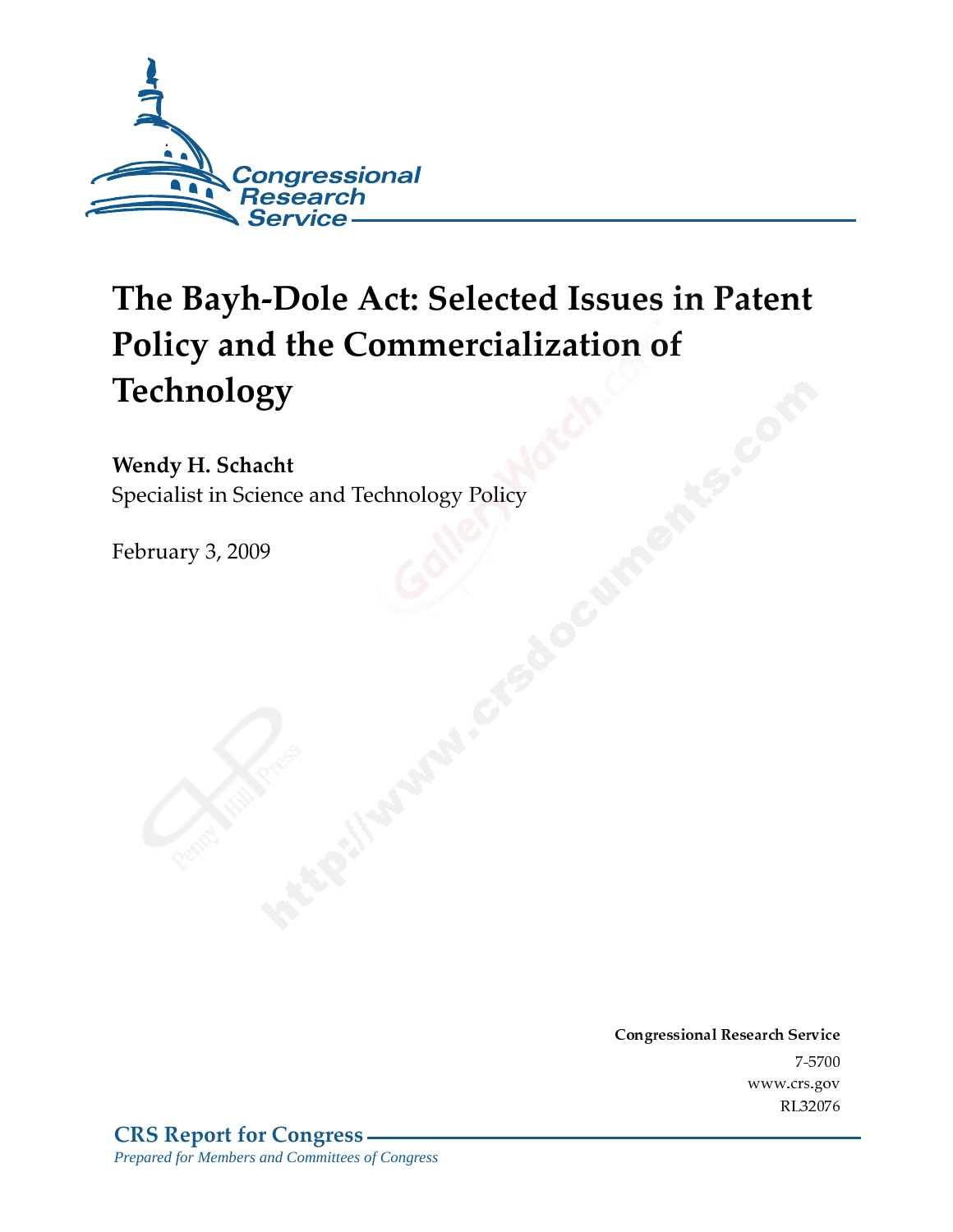

# The Bayh-Dole Act: Selected Issues in Patent Policy and the Commercialization of Technology

Wendy H. Schacht

Specialist in Science and Technology Policy

February 3, 2009

Conglessional Research Service -7-5700 www.crs.gov RL32076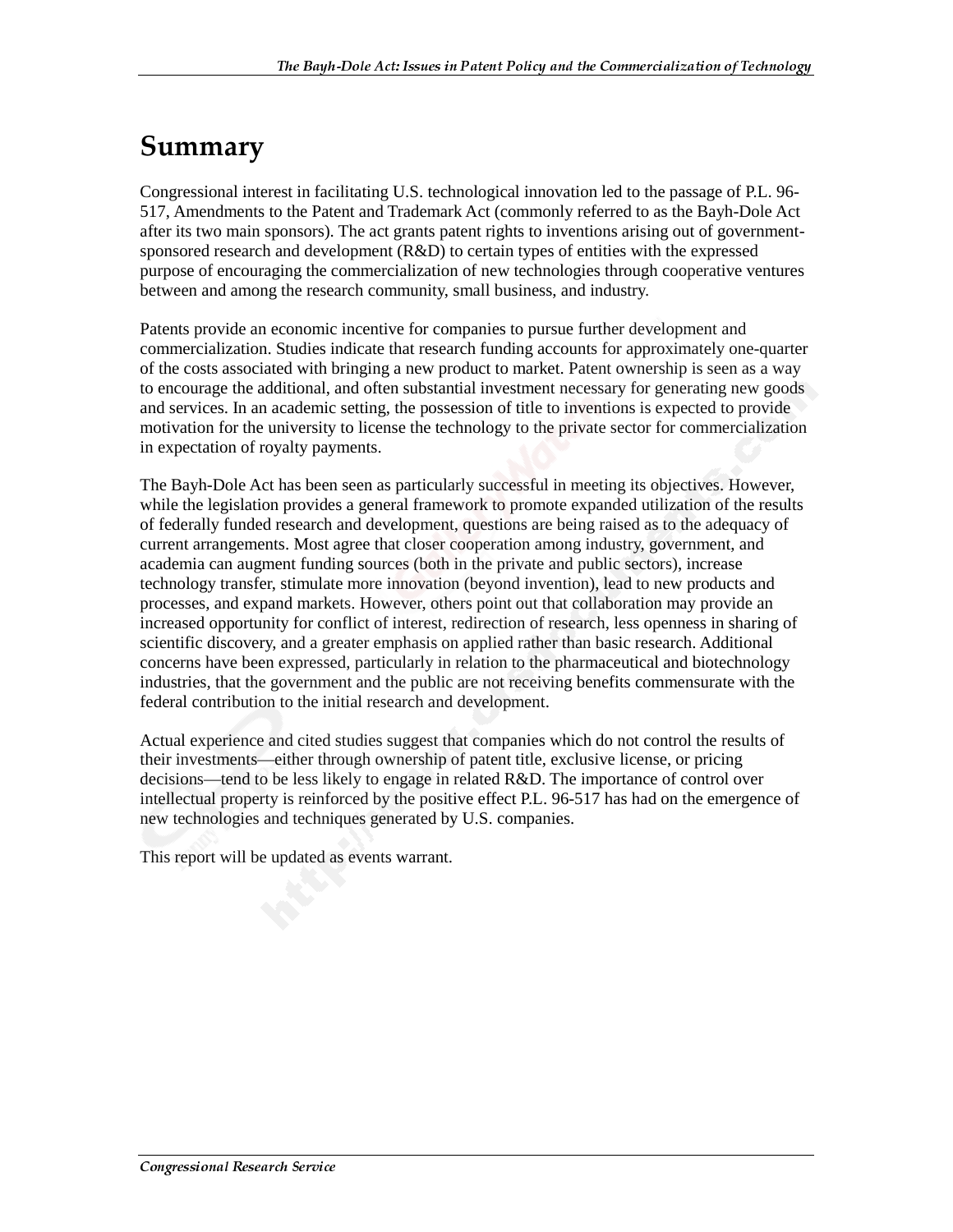### Summary

Congressional interest in facilitating U.S. technological innovation led to the passage of P.L. 96- 517, Amendments to the Patent and Trademark Act (commonly referred to as the Bayh-Dole Act after its two main sponsors). The act grants patent rights to inventions arising out of governmentsponsored research and development (R&D) to certain types of entities with the expressed purpose of encouraging the commercialization of new technologies through cooperative ventures between and among the research community, small business, and industry.

Patents provide an economic incentive for companies to pursue further development and commercialization. Studies indicate that research funding accounts for approximately one-quarter of the costs associated with bringing a new product to market. Patent ownership is seen as a way to encourage the additional, and often substantial investment necessary for generating new goods and services. In an academic setting, the possession of title to inventions is expected to provide motivation for the university to license the technology to the private sector for commercialization in expectation of royalty payments.

The Bayh-Dole Act has been seen as particularly successful in meeting its objectives. However, while the legislation provides a general framework to promote expanded utilization of the results of federally funded research and development, questions are being raised as to the adequacy of current arrangements. Most agree that closer cooperation among industry, government, and academia can augment funding sources (both in the private and public sectors), increase technology transfer, stimulate more innovation (beyond invention), lead to new products and processes, and expand markets. However, others point out that collaboration may provide an increased opportunity for conflict of interest, redirection of research, less openness in sharing of scientific discovery, and a greater emphasis on applied rather than basic research. Additional concerns have been expressed, particularly in relation to the pharmaceutical and biotechnology industries, that the government and the public are not receiving benefits commensurate with the federal contribution to the initial research and development.

Actual experience and cited studies suggest that companies which do not control the results of their investments—either through ownership of patent title, exclusive license, or pricing decisions—tend to be less likely to engage in related R&D. The importance of control over intellectual property is reinforced by the positive effect P.L. 96-517 has had on the emergence of new technologies and techniques generated by U.S. companies.

This report will be updated as events warrant.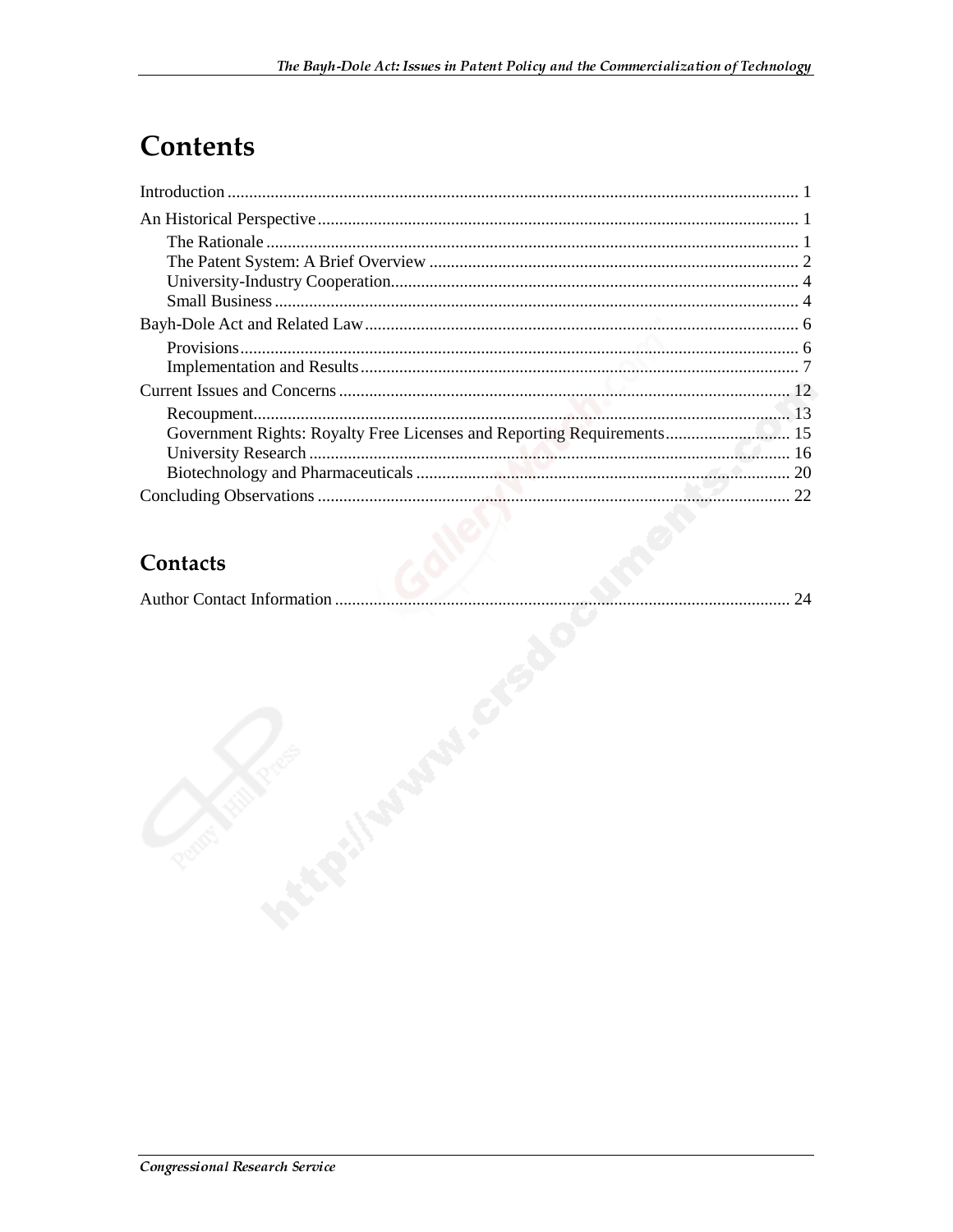### **Contents**

| Government Rights: Royalty Free Licenses and Reporting Requirements 15 |  |
|------------------------------------------------------------------------|--|
|                                                                        |  |
|                                                                        |  |
|                                                                        |  |

### Contacts

|--|--|--|--|--|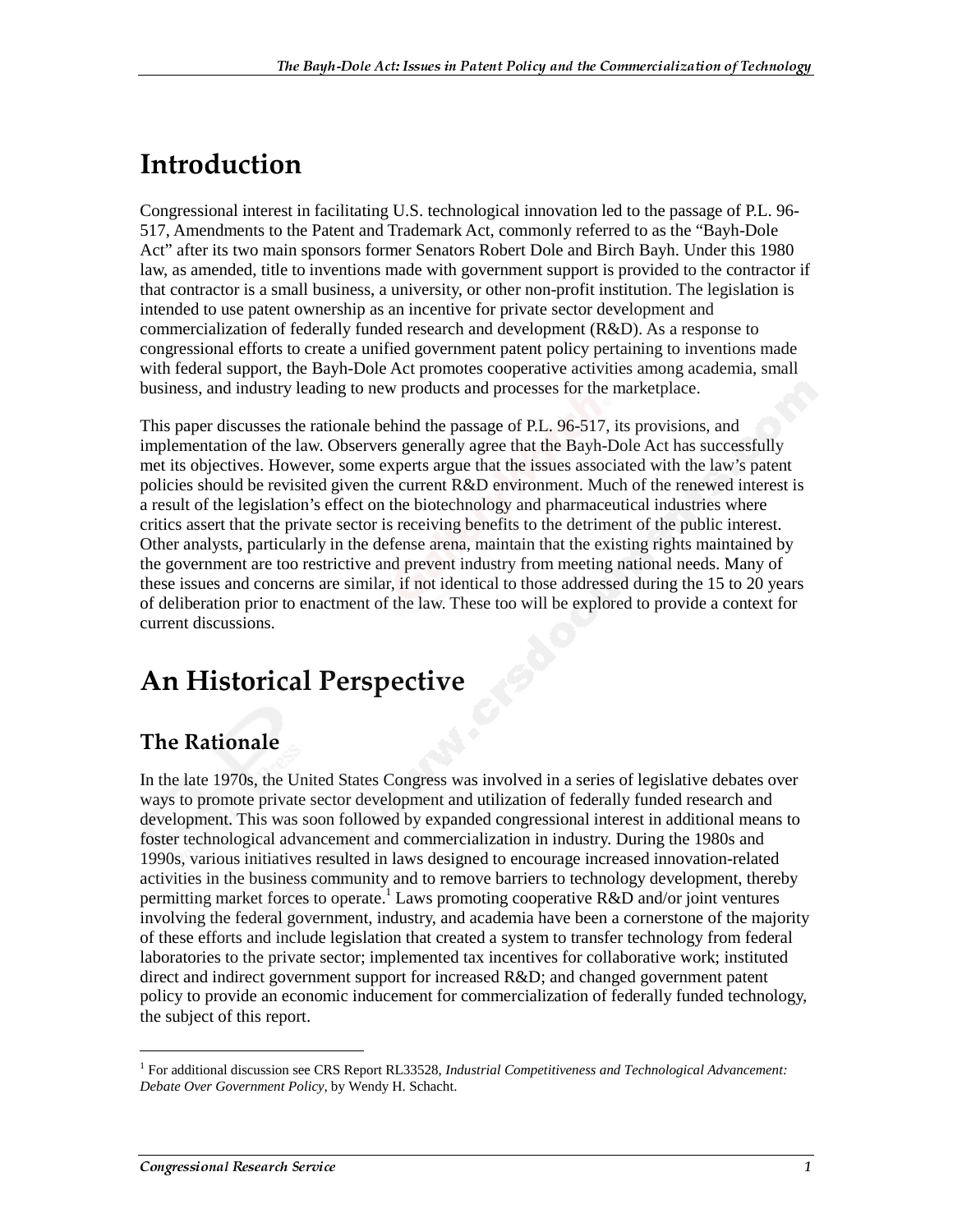# <u>Introduction</u>

Congressional interest in facilitating U.S. technological innovation led to the passage of P.L. 96- 517, Amendments to the Patent and Trademark Act, commonly referred to as the "Bayh-Dole Act" after its two main sponsors former Senators Robert Dole and Birch Bayh. Under this 1980 law, as amended, title to inventions made with government support is provided to the contractor if that contractor is a small business, a university, or other non-profit institution. The legislation is intended to use patent ownership as an incentive for private sector development and commercialization of federally funded research and development (R&D). As a response to congressional efforts to create a unified government patent policy pertaining to inventions made with federal support, the Bayh-Dole Act promotes cooperative activities among academia, small business, and industry leading to new products and processes for the marketplace.

This paper discusses the rationale behind the passage of P.L. 96-517, its provisions, and implementation of the law. Observers generally agree that the Bayh-Dole Act has successfully met its objectives. However, some experts argue that the issues associated with the law's patent policies should be revisited given the current R&D environment. Much of the renewed interest is a result of the legislation's effect on the biotechnology and pharmaceutical industries where critics assert that the private sector is receiving benefits to the detriment of the public interest. Other analysts, particularly in the defense arena, maintain that the existing rights maintained by the government are too restrictive and prevent industry from meeting national needs. Many of these issues and concerns are similar, if not identical to those addressed during the 15 to 20 years of deliberation prior to enactment of the law. These too will be explored to provide a context for current discussions.

# **An Historical Perspective**

#### **The Rationale**

In the late 1970s, the United States Congress was involved in a series of legislative debates over ways to promote private sector development and utilization of federally funded research and development. This was soon followed by expanded congressional interest in additional means to foster technological advancement and commercialization in industry. During the 1980s and 1990s, various initiatives resulted in laws designed to encourage increased innovation-related activities in the business community and to remove barriers to technology development, thereby permitting market forces to operate.<sup>1</sup> Laws promoting cooperative R&D and/or joint ventures involving the federal government, industry, and academia have been a cornerstone of the majority of these efforts and include legislation that created a system to transfer technology from federal laboratories to the private sector; implemented tax incentives for collaborative work; instituted direct and indirect government support for increased R&D; and changed government patent policy to provide an economic inducement for commercialization of federally funded technology, the subject of this report.

<sup>1</sup> For additional discussion see CRS Report RL33528, *Industrial Competitiveness and Technological Advancement: Debate Over Government Policy*, by Wendy H. Schacht.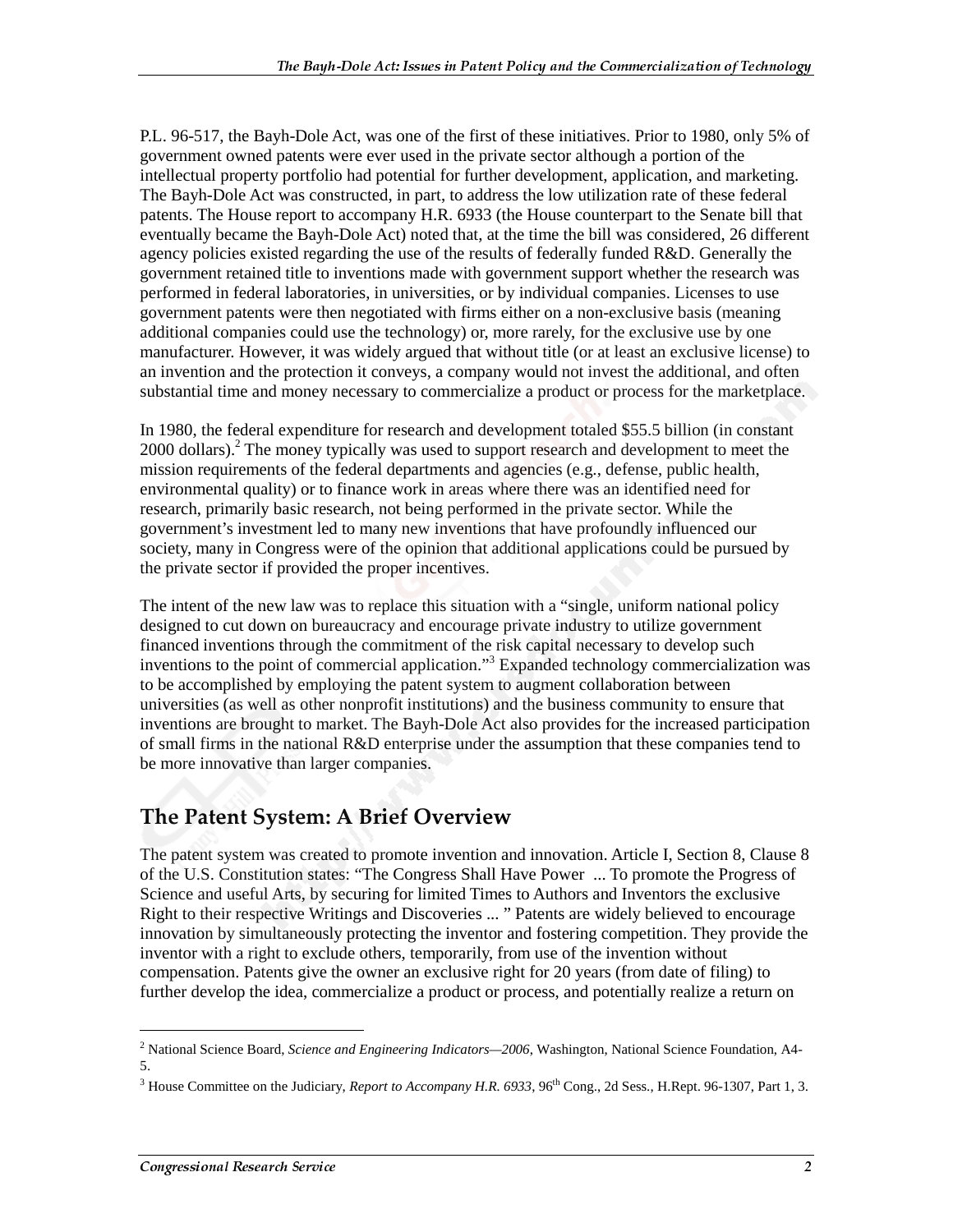P.L. 96-517, the Bayh-Dole Act, was one of the first of these initiatives. Prior to 1980, only 5% of government owned patents were ever used in the private sector although a portion of the intellectual property portfolio had potential for further development, application, and marketing. The Bayh-Dole Act was constructed, in part, to address the low utilization rate of these federal patents. The House report to accompany H.R. 6933 (the House counterpart to the Senate bill that eventually became the Bayh-Dole Act) noted that, at the time the bill was considered, 26 different agency policies existed regarding the use of the results of federally funded R&D. Generally the government retained title to inventions made with government support whether the research was performed in federal laboratories, in universities, or by individual companies. Licenses to use government patents were then negotiated with firms either on a non-exclusive basis (meaning additional companies could use the technology) or, more rarely, for the exclusive use by one manufacturer. However, it was widely argued that without title (or at least an exclusive license) to an invention and the protection it conveys, a company would not invest the additional, and often substantial time and money necessary to commercialize a product or process for the marketplace.

In 1980, the federal expenditure for research and development totaled \$55.5 billion (in constant 2000 dollars).<sup>2</sup> The money typically was used to support research and development to meet the mission requirements of the federal departments and agencies (e.g., defense, public health, environmental quality) or to finance work in areas where there was an identified need for research, primarily basic research, not being performed in the private sector. While the government's investment led to many new inventions that have profoundly influenced our society, many in Congress were of the opinion that additional applications could be pursued by the private sector if provided the proper incentives.

The intent of the new law was to replace this situation with a "single, uniform national policy designed to cut down on bureaucracy and encourage private industry to utilize government financed inventions through the commitment of the risk capital necessary to develop such inventions to the point of commercial application."<sup>3</sup> Expanded technology commercialization was to be accomplished by employing the patent system to augment collaboration between universities (as well as other nonprofit institutions) and the business community to ensure that inventions are brought to market. The Bayh-Dole Act also provides for the increased participation of small firms in the national R&D enterprise under the assumption that these companies tend to be more innovative than larger companies.

### The Patent System: A Brief Overview

The patent system was created to promote invention and innovation. Article I, Section 8, Clause 8 of the U.S. Constitution states: "The Congress Shall Have Power ... To promote the Progress of Science and useful Arts, by securing for limited Times to Authors and Inventors the exclusive Right to their respective Writings and Discoveries ... " Patents are widely believed to encourage innovation by simultaneously protecting the inventor and fostering competition. They provide the inventor with a right to exclude others, temporarily, from use of the invention without compensation. Patents give the owner an exclusive right for 20 years (from date of filing) to further develop the idea, commercialize a product or process, and potentially realize a return on

<sup>2</sup> National Science Board, *Science and Engineering Indicators—2006*, Washington, National Science Foundation, A4- 5.

 $3$  House Committee on the Judiciary, *Report to Accompany H.R.* 6933, 96<sup>th</sup> Cong., 2d Sess., H.Rept. 96-1307, Part 1, 3.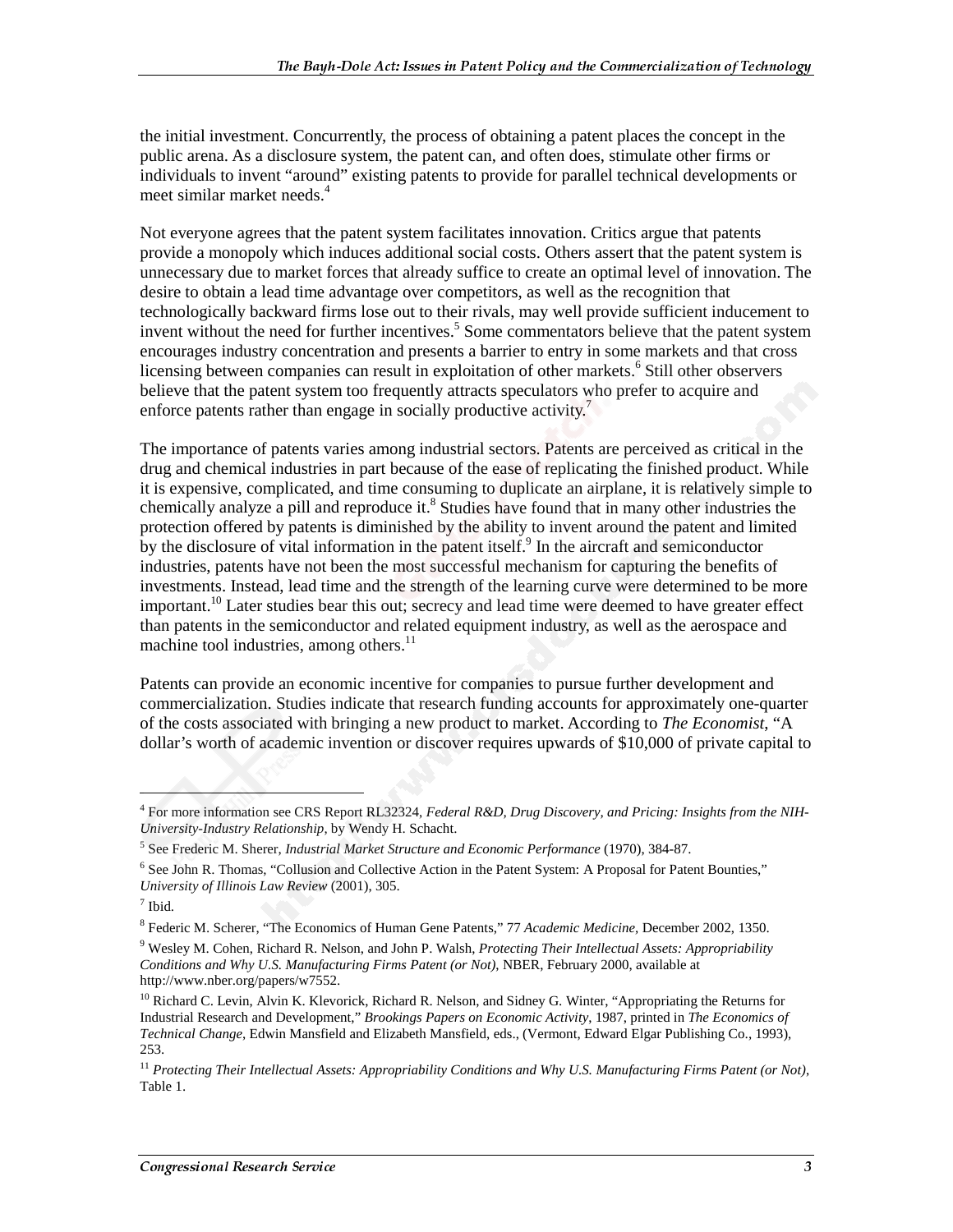the initial investment. Concurrently, the process of obtaining a patent places the concept in the public arena. As a disclosure system, the patent can, and often does, stimulate other firms or individuals to invent "around" existing patents to provide for parallel technical developments or meet similar market needs.<sup>4</sup>

Not everyone agrees that the patent system facilitates innovation. Critics argue that patents provide a monopoly which induces additional social costs. Others assert that the patent system is unnecessary due to market forces that already suffice to create an optimal level of innovation. The desire to obtain a lead time advantage over competitors, as well as the recognition that technologically backward firms lose out to their rivals, may well provide sufficient inducement to invent without the need for further incentives.<sup>5</sup> Some commentators believe that the patent system encourages industry concentration and presents a barrier to entry in some markets and that cross licensing between companies can result in exploitation of other markets.<sup>6</sup> Still other observers believe that the patent system too frequently attracts speculators who prefer to acquire and enforce patents rather than engage in socially productive activity.<sup>7</sup>

The importance of patents varies among industrial sectors. Patents are perceived as critical in the drug and chemical industries in part because of the ease of replicating the finished product. While it is expensive, complicated, and time consuming to duplicate an airplane, it is relatively simple to chemically analyze a pill and reproduce it.<sup>8</sup> Studies have found that in many other industries the protection offered by patents is diminished by the ability to invent around the patent and limited by the disclosure of vital information in the patent itself.<sup>9</sup> In the aircraft and semiconductor industries, patents have not been the most successful mechanism for capturing the benefits of investments. Instead, lead time and the strength of the learning curve were determined to be more important.<sup>10</sup> Later studies bear this out; secrecy and lead time were deemed to have greater effect than patents in the semiconductor and related equipment industry, as well as the aerospace and machine tool industries, among others.<sup>11</sup>

Patents can provide an economic incentive for companies to pursue further development and commercialization. Studies indicate that research funding accounts for approximately one-quarter of the costs associated with bringing a new product to market. According to *The Economist*, "A dollar's worth of academic invention or discover requires upwards of \$10,000 of private capital to

<sup>4</sup> For more information see CRS Report RL32324, *Federal R&D, Drug Discovery, and Pricing: Insights from the NIH-University-Industry Relationship*, by Wendy H. Schacht.

<sup>5</sup> See Frederic M. Sherer, *Industrial Market Structure and Economic Performance* (1970), 384-87.

<sup>&</sup>lt;sup>6</sup> See John R. Thomas, "Collusion and Collective Action in the Patent System: A Proposal for Patent Bounties," *University of Illinois Law Review* (2001), 305.

 $<sup>7</sup>$  Ibid.</sup>

<sup>8</sup> Federic M. Scherer, "The Economics of Human Gene Patents," 77 *Academic Medicine,* December 2002, 1350.

<sup>9</sup> Wesley M. Cohen, Richard R. Nelson, and John P. Walsh, *Protecting Their Intellectual Assets: Appropriability Conditions and Why U.S. Manufacturing Firms Patent (or Not)*, NBER, February 2000, available at http://www.nber.org/papers/w7552.

<sup>&</sup>lt;sup>10</sup> Richard C. Levin, Alvin K. Klevorick, Richard R. Nelson, and Sidney G. Winter, "Appropriating the Returns for Industrial Research and Development," *Brookings Papers on Economic Activity*, 1987, printed in *The Economics of Technical Change*, Edwin Mansfield and Elizabeth Mansfield, eds., (Vermont, Edward Elgar Publishing Co., 1993), 253.

<sup>&</sup>lt;sup>11</sup> Protecting Their Intellectual Assets: Appropriability Conditions and Why U.S. Manufacturing Firms Patent (or Not), Table 1.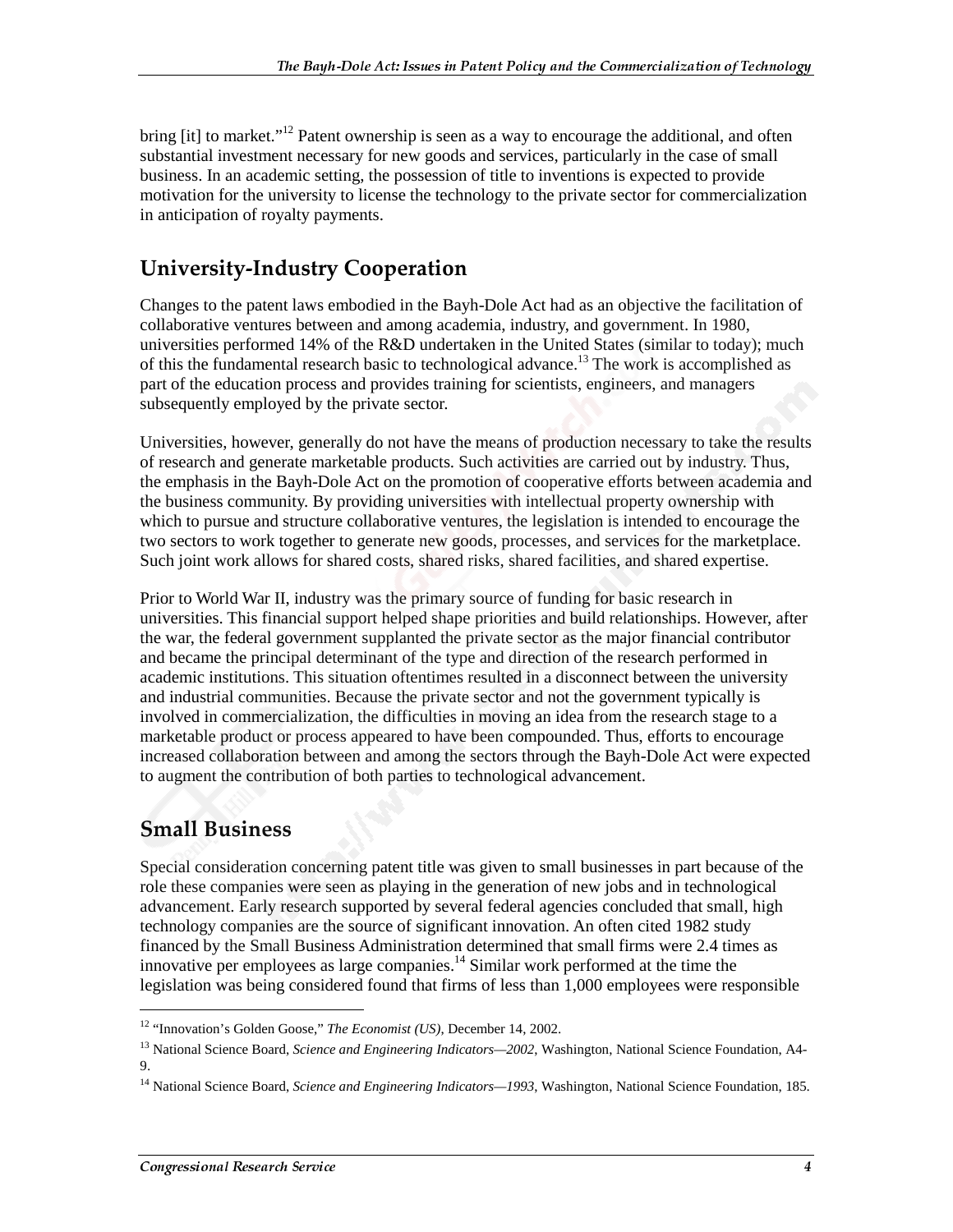bring [it] to market."<sup>12</sup> Patent ownership is seen as a way to encourage the additional, and often substantial investment necessary for new goods and services, particularly in the case of small business. In an academic setting, the possession of title to inventions is expected to provide motivation for the university to license the technology to the private sector for commercialization in anticipation of royalty payments.

#### **University-Industry Cooperation**

Changes to the patent laws embodied in the Bayh-Dole Act had as an objective the facilitation of collaborative ventures between and among academia, industry, and government. In 1980, universities performed 14% of the  $R&D$  undertaken in the United States (similar to today); much of this the fundamental research basic to technological advance.<sup>13</sup> The work is accomplished as part of the education process and provides training for scientists, engineers, and managers subsequently employed by the private sector.

Universities, however, generally do not have the means of production necessary to take the results of research and generate marketable products. Such activities are carried out by industry. Thus, the emphasis in the Bayh-Dole Act on the promotion of cooperative efforts between academia and the business community. By providing universities with intellectual property ownership with which to pursue and structure collaborative ventures, the legislation is intended to encourage the two sectors to work together to generate new goods, processes, and services for the marketplace. Such joint work allows for shared costs, shared risks, shared facilities, and shared expertise.

Prior to World War II, industry was the primary source of funding for basic research in universities. This financial support helped shape priorities and build relationships. However, after the war, the federal government supplanted the private sector as the major financial contributor and became the principal determinant of the type and direction of the research performed in academic institutions. This situation oftentimes resulted in a disconnect between the university and industrial communities. Because the private sector and not the government typically is involved in commercialization, the difficulties in moving an idea from the research stage to a marketable product or process appeared to have been compounded. Thus, efforts to encourage increased collaboration between and among the sectors through the Bayh-Dole Act were expected to augment the contribution of both parties to technological advancement.

### **Small Business**

j

Special consideration concerning patent title was given to small businesses in part because of the role these companies were seen as playing in the generation of new jobs and in technological advancement. Early research supported by several federal agencies concluded that small, high technology companies are the source of significant innovation. An often cited 1982 study financed by the Small Business Administration determined that small firms were 2.4 times as innovative per employees as large companies.<sup>14</sup> Similar work performed at the time the legislation was being considered found that firms of less than 1,000 employees were responsible

<sup>12 &</sup>quot;Innovation's Golden Goose," *The Economist (US)*, December 14, 2002.

<sup>13</sup> National Science Board, *Science and Engineering Indicators—2002*, Washington, National Science Foundation, A4- 9.

<sup>&</sup>lt;sup>14</sup> National Science Board, *Science and Engineering Indicators—1993*, Washington, National Science Foundation, 185.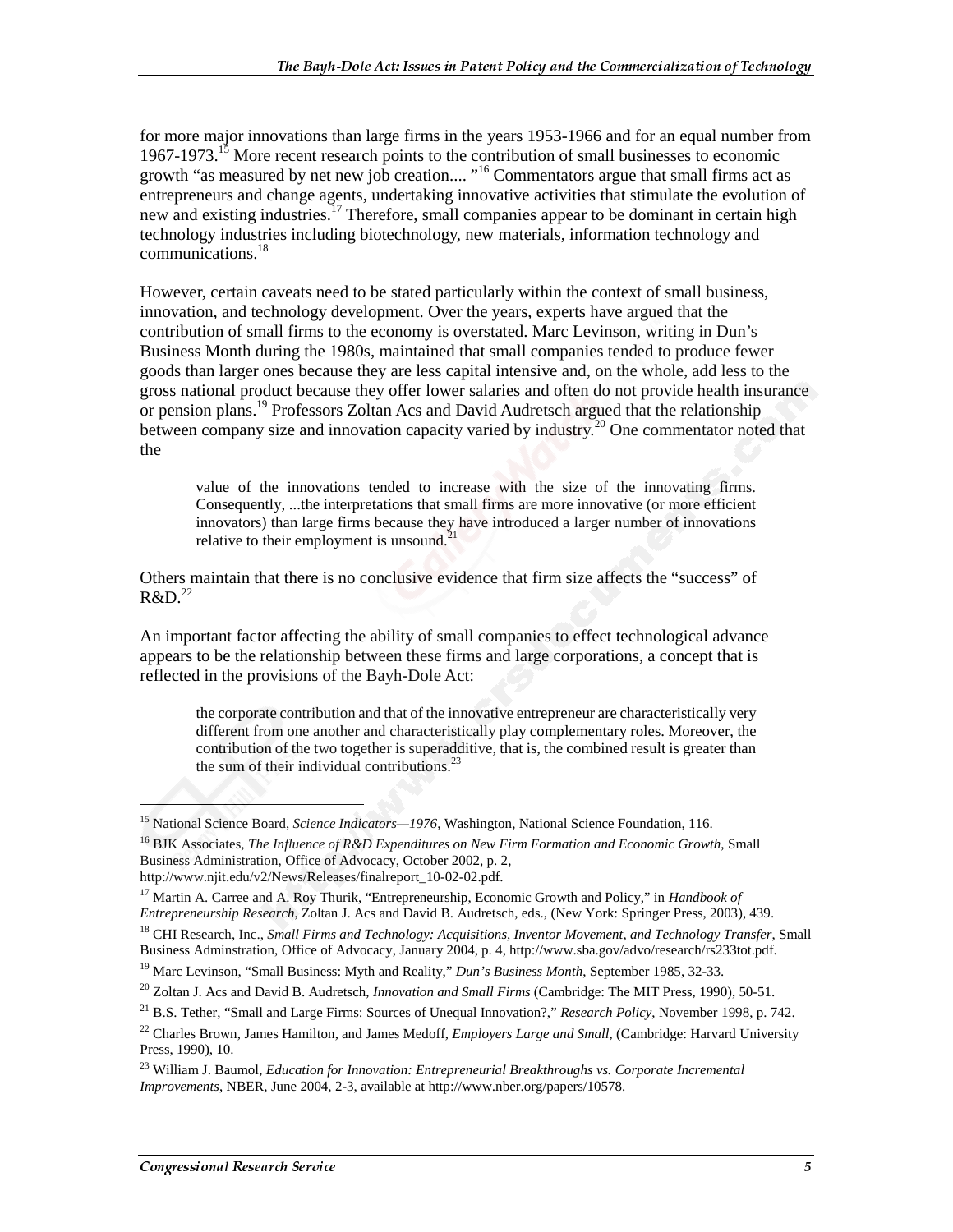for more major innovations than large firms in the years 1953-1966 and for an equal number from 1967-1973.<sup>15</sup> More recent research points to the contribution of small businesses to economic growth "as measured by net new job creation...."<sup>16</sup> Commentators argue that small firms act as entrepreneurs and change agents, undertaking innovative activities that stimulate the evolution of new and existing industries.<sup>17</sup> Therefore, small companies appear to be dominant in certain high technology industries including biotechnology, new materials, information technology and communications.<sup>18</sup>

However, certain caveats need to be stated particularly within the context of small business, innovation, and technology development. Over the years, experts have argued that the contribution of small firms to the economy is overstated. Marc Levinson, writing in Dun's Business Month during the 1980s, maintained that small companies tended to produce fewer goods than larger ones because they are less capital intensive and, on the whole, add less to the gross national product because they offer lower salaries and often do not provide health insurance or pension plans.19 Professors Zoltan Acs and David Audretsch argued that the relationship between company size and innovation capacity varied by industry.<sup>20</sup> One commentator noted that the

value of the innovations tended to increase with the size of the innovating firms. Consequently, ...the interpretations that small firms are more innovative (or more efficient innovators) than large firms because they have introduced a larger number of innovations relative to their employment is unsound. $^{21}$ 

Others maintain that there is no conclusive evidence that firm size affects the "success" of  $R\&D^{22}$ 

An important factor affecting the ability of small companies to effect technological advance appears to be the relationship between these firms and large corporations, a concept that is reflected in the provisions of the Bayh-Dole Act:

the corporate contribution and that of the innovative entrepreneur are characteristically very different from one another and characteristically play complementary roles. Moreover, the contribution of the two together is superadditive, that is, the combined result is greater than the sum of their individual contributions. $^{23}$ 

1

<sup>&</sup>lt;sup>15</sup> National Science Board, *Science Indicators*—1976, Washington, National Science Foundation, 116.

<sup>16</sup> BJK Associates, *The Influence of R&D Expenditures on New Firm Formation and Economic Growth*, Small Business Administration, Office of Advocacy, October 2002, p. 2,

http://www.njit.edu/v2/News/Releases/finalreport\_10-02-02.pdf.

<sup>17</sup> Martin A. Carree and A. Roy Thurik, "Entrepreneurship, Economic Growth and Policy," in *Handbook of Entrepreneurship Research*, Zoltan J. Acs and David B. Audretsch, eds., (New York: Springer Press, 2003), 439.

<sup>18</sup> CHI Research, Inc., *Small Firms and Technology: Acquisitions, Inventor Movement, and Technology Transfer*, Small Business Adminstration, Office of Advocacy, January 2004, p. 4, http://www.sba.gov/advo/research/rs233tot.pdf.

<sup>19</sup> Marc Levinson, "Small Business: Myth and Reality," *Dun's Business Month*, September 1985, 32-33.

<sup>20</sup> Zoltan J. Acs and David B. Audretsch, *Innovation and Small Firms* (Cambridge: The MIT Press, 1990), 50-51.

<sup>21</sup> B.S. Tether, "Small and Large Firms: Sources of Unequal Innovation?," *Research Policy*, November 1998, p. 742.

<sup>22</sup> Charles Brown, James Hamilton, and James Medoff, *Employers Large and Small*, (Cambridge: Harvard University Press, 1990), 10.

<sup>23</sup> William J. Baumol, *Education for Innovation: Entrepreneurial Breakthroughs vs. Corporate Incremental Improvements*, NBER, June 2004, 2-3, available at http://www.nber.org/papers/10578.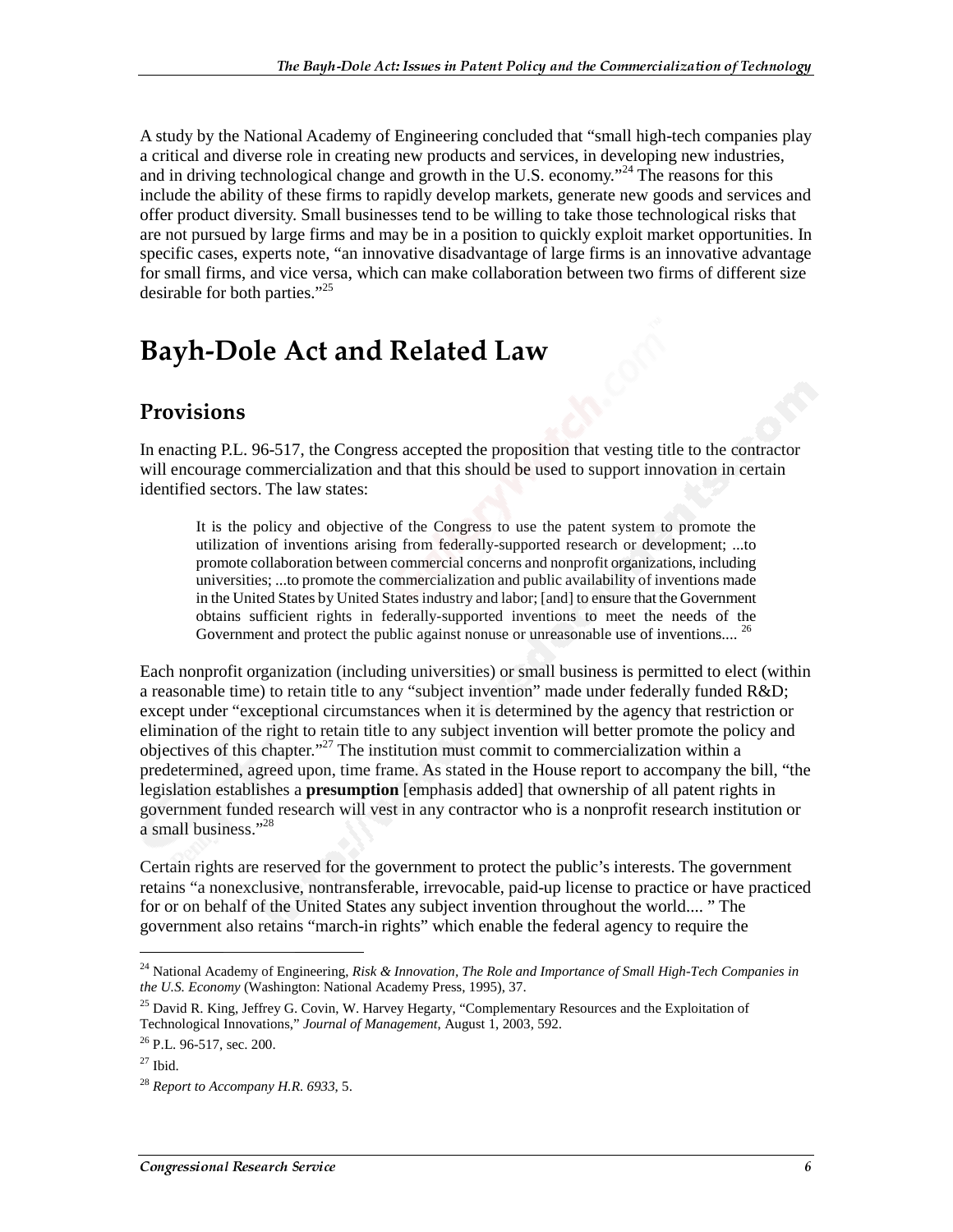A study by the National Academy of Engineering concluded that "small high-tech companies play a critical and diverse role in creating new products and services, in developing new industries, and in driving technological change and growth in the U.S. economy.<sup>324</sup> The reasons for this include the ability of these firms to rapidly develop markets, generate new goods and services and offer product diversity. Small businesses tend to be willing to take those technological risks that are not pursued by large firms and may be in a position to quickly exploit market opportunities. In specific cases, experts note, "an innovative disadvantage of large firms is an innovative advantage for small firms, and vice versa, which can make collaboration between two firms of different size desirable for both parties."25

## **Bayh-Dole Act and Related Law**

#### **Provisions**

In enacting P.L. 96-517, the Congress accepted the proposition that vesting title to the contractor will encourage commercialization and that this should be used to support innovation in certain identified sectors. The law states:

It is the policy and objective of the Congress to use the patent system to promote the utilization of inventions arising from federally-supported research or development; ...to promote collaboration between commercial concerns and nonprofit organizations, including universities; ...to promote the commercialization and public availability of inventions made in the United States by United States industry and labor; [and] to ensure that the Government obtains sufficient rights in federally-supported inventions to meet the needs of the Government and protect the public against nonuse or unreasonable use of inventions....<sup>26</sup>

Each nonprofit organization (including universities) or small business is permitted to elect (within a reasonable time) to retain title to any "subject invention" made under federally funded R&D; except under "exceptional circumstances when it is determined by the agency that restriction or elimination of the right to retain title to any subject invention will better promote the policy and objectives of this chapter."27 The institution must commit to commercialization within a predetermined, agreed upon, time frame. As stated in the House report to accompany the bill, "the legislation establishes a **presumption** [emphasis added] that ownership of all patent rights in government funded research will vest in any contractor who is a nonprofit research institution or a small business."28

Certain rights are reserved for the government to protect the public's interests. The government retains "a nonexclusive, nontransferable, irrevocable, paid-up license to practice or have practiced for or on behalf of the United States any subject invention throughout the world.... " The government also retains "march-in rights" which enable the federal agency to require the

<sup>24</sup> National Academy of Engineering, *Risk & Innovation, The Role and Importance of Small High-Tech Companies in the U.S. Economy* (Washington: National Academy Press, 1995), 37.

<sup>&</sup>lt;sup>25</sup> David R. King, Jeffrey G. Covin, W. Harvey Hegarty, "Complementary Resources and the Exploitation of Technological Innovations," *Journal of Management*, August 1, 2003, 592.

<sup>&</sup>lt;sup>26</sup> P.L. 96-517, sec. 200.

 $27$  Ibid.

<sup>28</sup> *Report to Accompany H.R. 6933*, 5.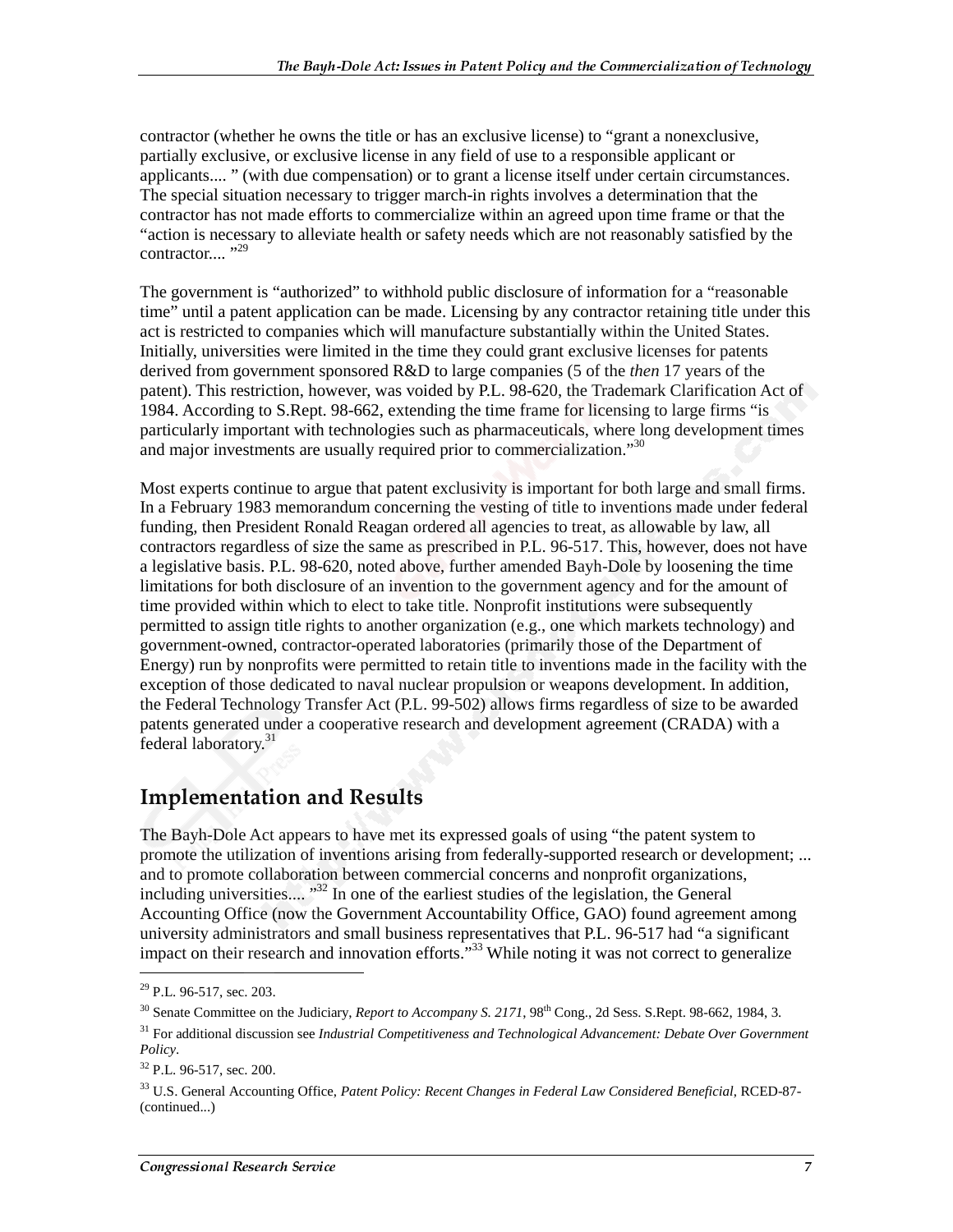contractor (whether he owns the title or has an exclusive license) to "grant a nonexclusive, partially exclusive, or exclusive license in any field of use to a responsible applicant or applicants.... " (with due compensation) or to grant a license itself under certain circumstances. The special situation necessary to trigger march-in rights involves a determination that the contractor has not made efforts to commercialize within an agreed upon time frame or that the "action is necessary to alleviate health or safety needs which are not reasonably satisfied by the contractor....  $"$ 

The government is "authorized" to withhold public disclosure of information for a "reasonable time" until a patent application can be made. Licensing by any contractor retaining title under this act is restricted to companies which will manufacture substantially within the United States. Initially, universities were limited in the time they could grant exclusive licenses for patents derived from government sponsored R&D to large companies (5 of the *then* 17 years of the patent). This restriction, however, was voided by P.L. 98-620, the Trademark Clarification Act of 1984. According to S.Rept. 98-662, extending the time frame for licensing to large firms "is particularly important with technologies such as pharmaceuticals, where long development times and major investments are usually required prior to commercialization."<sup>30</sup>

Most experts continue to argue that patent exclusivity is important for both large and small firms. In a February 1983 memorandum concerning the vesting of title to inventions made under federal funding, then President Ronald Reagan ordered all agencies to treat, as allowable by law, all contractors regardless of size the same as prescribed in P.L. 96-517. This, however, does not have a legislative basis. P.L. 98-620, noted above, further amended Bayh-Dole by loosening the time limitations for both disclosure of an invention to the government agency and for the amount of time provided within which to elect to take title. Nonprofit institutions were subsequently permitted to assign title rights to another organization (e.g., one which markets technology) and government-owned, contractor-operated laboratories (primarily those of the Department of Energy) run by nonprofits were permitted to retain title to inventions made in the facility with the exception of those dedicated to naval nuclear propulsion or weapons development. In addition, the Federal Technology Transfer Act (P.L. 99-502) allows firms regardless of size to be awarded patents generated under a cooperative research and development agreement (CRADA) with a federal laboratory.<sup>31</sup>

#### **Implementation and Results**

The Bayh-Dole Act appears to have met its expressed goals of using "the patent system to promote the utilization of inventions arising from federally-supported research or development; ... and to promote collaboration between commercial concerns and nonprofit organizations, including universities.... "<sup>32</sup> In one of the earliest studies of the legislation, the General Accounting Office (now the Government Accountability Office, GAO) found agreement among university administrators and small business representatives that P.L. 96-517 had "a significant impact on their research and innovation efforts."33 While noting it was not correct to generalize

 $29$  P.L. 96-517, sec. 203.

<sup>30</sup> Senate Committee on the Judiciary, *Report to Accompany S. 2171*, 98th Cong., 2d Sess. S.Rept. 98-662, 1984, 3.

<sup>31</sup> For additional discussion see *Industrial Competitiveness and Technological Advancement: Debate Over Government Policy*.

<sup>32</sup> P.L. 96-517, sec. 200.

<sup>33</sup> U.S. General Accounting Office, *Patent Policy: Recent Changes in Federal Law Considered Beneficial*, RCED-87- (continued...)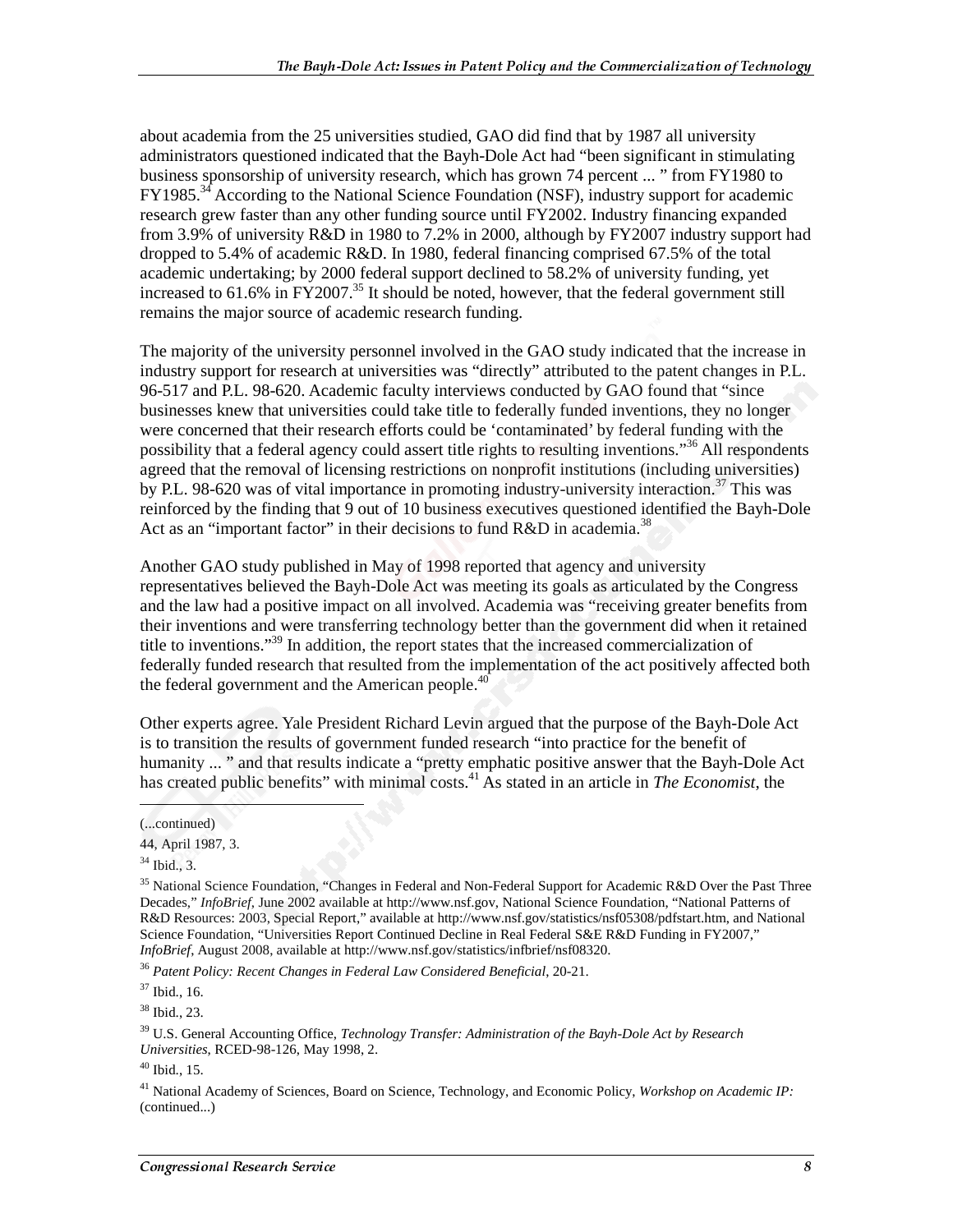about academia from the 25 universities studied, GAO did find that by 1987 all university administrators questioned indicated that the Bayh-Dole Act had "been significant in stimulating business sponsorship of university research, which has grown 74 percent ... " from FY1980 to  $FY1985.<sup>34</sup>$  According to the National Science Foundation (NSF), industry support for academic research grew faster than any other funding source until FY2002. Industry financing expanded from 3.9% of university R&D in 1980 to 7.2% in 2000, although by FY2007 industry support had dropped to 5.4% of academic R&D. In 1980, federal financing comprised 67.5% of the total academic undertaking; by 2000 federal support declined to 58.2% of university funding, yet increased to  $61.6\%$  in FY2007.<sup>35</sup> It should be noted, however, that the federal government still remains the major source of academic research funding.

The majority of the university personnel involved in the GAO study indicated that the increase in industry support for research at universities was "directly" attributed to the patent changes in P.L. 96-517 and P.L. 98-620. Academic faculty interviews conducted by GAO found that "since businesses knew that universities could take title to federally funded inventions, they no longer were concerned that their research efforts could be 'contaminated' by federal funding with the possibility that a federal agency could assert title rights to resulting inventions."36 All respondents agreed that the removal of licensing restrictions on nonprofit institutions (including universities) by P.L. 98-620 was of vital importance in promoting industry-university interaction.<sup>37</sup> This was reinforced by the finding that 9 out of 10 business executives questioned identified the Bayh-Dole Act as an "important factor" in their decisions to fund R&D in academia.<sup>38</sup>

Another GAO study published in May of 1998 reported that agency and university representatives believed the Bayh-Dole Act was meeting its goals as articulated by the Congress and the law had a positive impact on all involved. Academia was "receiving greater benefits from their inventions and were transferring technology better than the government did when it retained title to inventions."39 In addition, the report states that the increased commercialization of federally funded research that resulted from the implementation of the act positively affected both the federal government and the American people. $40$ 

Other experts agree. Yale President Richard Levin argued that the purpose of the Bayh-Dole Act is to transition the results of government funded research "into practice for the benefit of humanity ... " and that results indicate a "pretty emphatic positive answer that the Bayh-Dole Act has created public benefits" with minimal costs.<sup>41</sup> As stated in an article in *The Economist*, the

1

<sup>36</sup> *Patent Policy: Recent Changes in Federal Law Considered Beneficial*, 20-21.

 $37$  Ibid., 16.

38 Ibid., 23.

<sup>(...</sup>continued)

<sup>44,</sup> April 1987, 3.

<sup>34</sup> Ibid., 3.

<sup>&</sup>lt;sup>35</sup> National Science Foundation, "Changes in Federal and Non-Federal Support for Academic R&D Over the Past Three Decades," *InfoBrief*, June 2002 available at http://www.nsf.gov, National Science Foundation, "National Patterns of R&D Resources: 2003, Special Report," available at http://www.nsf.gov/statistics/nsf05308/pdfstart.htm, and National Science Foundation, "Universities Report Continued Decline in Real Federal S&E R&D Funding in FY2007," *InfoBrief*, August 2008, available at http://www.nsf.gov/statistics/infbrief/nsf08320.

<sup>39</sup> U.S. General Accounting Office, *Technology Transfer: Administration of the Bayh-Dole Act by Research Universities*, RCED-98-126, May 1998, 2.

 $40$  Ibid., 15.

<sup>41</sup> National Academy of Sciences, Board on Science, Technology, and Economic Policy, *Workshop on Academic IP:*  (continued...)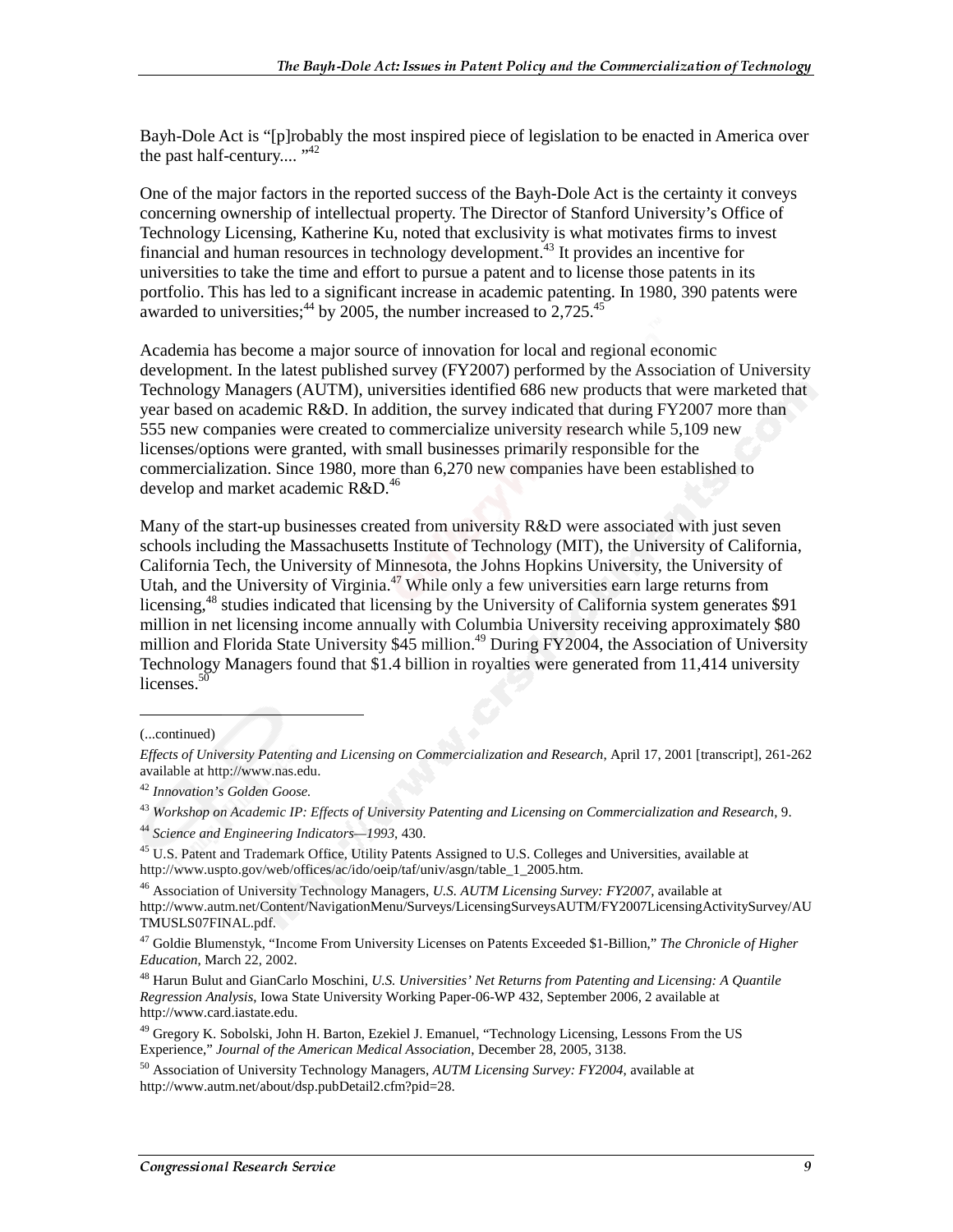Bayh-Dole Act is "[p]robably the most inspired piece of legislation to be enacted in America over the past half-century.... "<sup>42</sup>

One of the major factors in the reported success of the Bayh-Dole Act is the certainty it conveys concerning ownership of intellectual property. The Director of Stanford University's Office of Technology Licensing, Katherine Ku, noted that exclusivity is what motivates firms to invest financial and human resources in technology development.<sup>43</sup> It provides an incentive for universities to take the time and effort to pursue a patent and to license those patents in its portfolio. This has led to a significant increase in academic patenting. In 1980, 390 patents were awarded to universities;<sup>44</sup> by 2005, the number increased to  $2,725$ .<sup>45</sup>

Academia has become a major source of innovation for local and regional economic development. In the latest published survey (FY2007) performed by the Association of University Technology Managers (AUTM), universities identified 686 new products that were marketed that year based on academic R&D. In addition, the survey indicated that during FY2007 more than 555 new companies were created to commercialize university research while 5,109 new licenses/options were granted, with small businesses primarily responsible for the commercialization. Since 1980, more than 6,270 new companies have been established to develop and market academic R&D.<sup>46</sup>

Many of the start-up businesses created from university R&D were associated with just seven schools including the Massachusetts Institute of Technology (MIT), the University of California, California Tech, the University of Minnesota, the Johns Hopkins University, the University of Utah, and the University of Virginia.<sup>47</sup> While only a few universities earn large returns from licensing,<sup>48</sup> studies indicated that licensing by the University of California system generates \$91 million in net licensing income annually with Columbia University receiving approximately \$80 million and Florida State University \$45 million.<sup>49</sup> During FY2004, the Association of University Technology Managers found that \$1.4 billion in royalties were generated from 11,414 university licenses. $50$ 

<sup>(...</sup>continued)

*Effects of University Patenting and Licensing on Commercialization and Research*, April 17, 2001 [transcript], 261-262 available at http://www.nas.edu.

<sup>42</sup> *Innovation's Golden Goose.*

<sup>43</sup> *Workshop on Academic IP: Effects of University Patenting and Licensing on Commercialization and Research*, 9.

<sup>44</sup> *Science and Engineering Indicators—1993*, 430.

<sup>&</sup>lt;sup>45</sup> U.S. Patent and Trademark Office, Utility Patents Assigned to U.S. Colleges and Universities, available at http://www.uspto.gov/web/offices/ac/ido/oeip/taf/univ/asgn/table\_1\_2005.htm.

<sup>46</sup> Association of University Technology Managers, *U.S. AUTM Licensing Survey: FY2007*, available at http://www.autm.net/Content/NavigationMenu/Surveys/LicensingSurveysAUTM/FY2007LicensingActivitySurvey/AU TMUSLS07FINAL.pdf.

<sup>47</sup> Goldie Blumenstyk, "Income From University Licenses on Patents Exceeded \$1-Billion," *The Chronicle of Higher Education*, March 22, 2002.

<sup>48</sup> Harun Bulut and GianCarlo Moschini, *U.S. Universities' Net Returns from Patenting and Licensing: A Quantile Regression Analysis*, Iowa State University Working Paper-06-WP 432, September 2006, 2 available at http://www.card.iastate.edu.

<sup>&</sup>lt;sup>49</sup> Gregory K. Sobolski, John H. Barton, Ezekiel J. Emanuel, "Technology Licensing, Lessons From the US Experience," *Journal of the American Medical Association*, December 28, 2005, 3138.

<sup>50</sup> Association of University Technology Managers, *AUTM Licensing Survey: FY2004*, available at http://www.autm.net/about/dsp.pubDetail2.cfm?pid=28.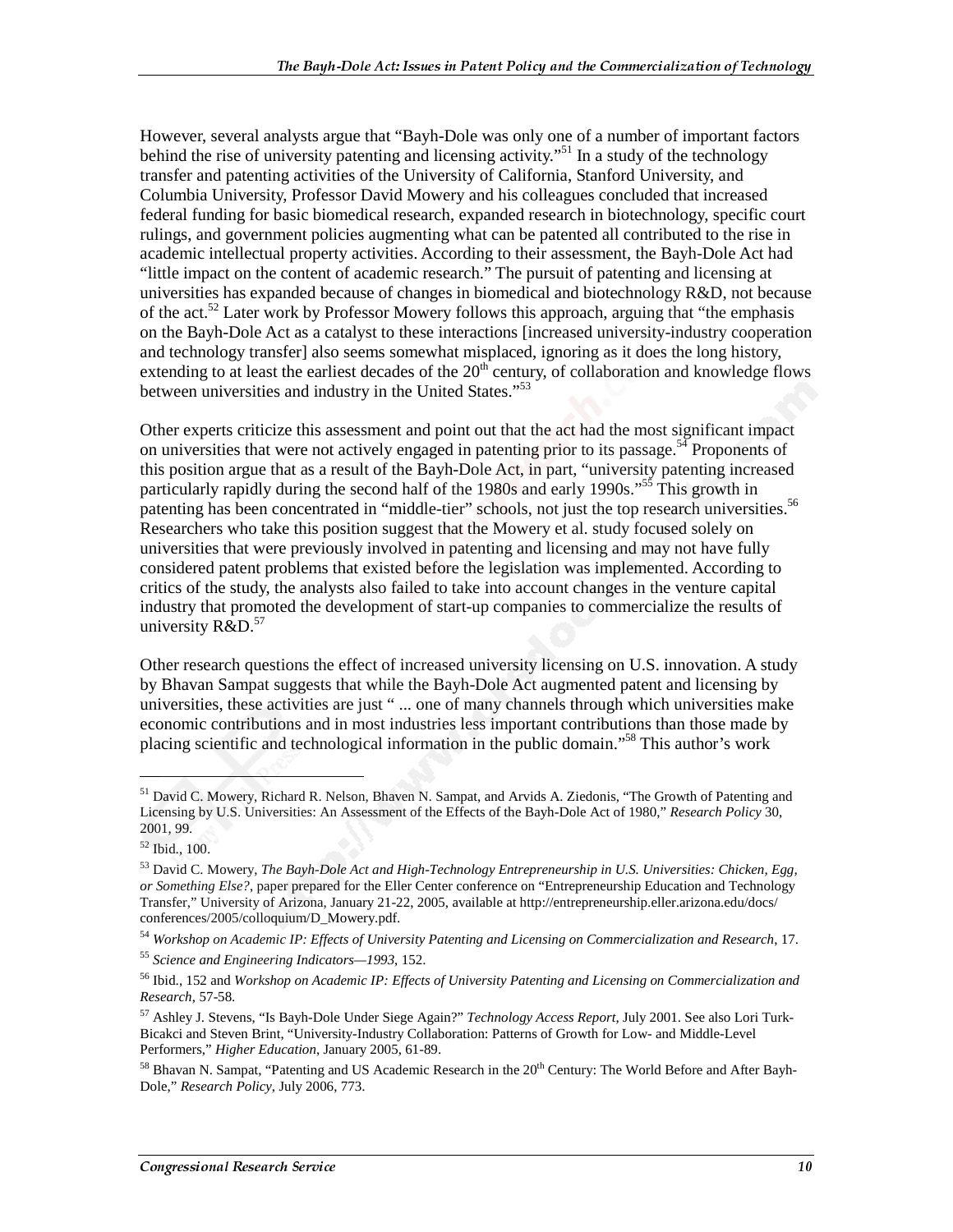However, several analysts argue that "Bayh-Dole was only one of a number of important factors behind the rise of university patenting and licensing activity."<sup>51</sup> In a study of the technology transfer and patenting activities of the University of California, Stanford University, and Columbia University, Professor David Mowery and his colleagues concluded that increased federal funding for basic biomedical research, expanded research in biotechnology, specific court rulings, and government policies augmenting what can be patented all contributed to the rise in academic intellectual property activities. According to their assessment, the Bayh-Dole Act had "little impact on the content of academic research." The pursuit of patenting and licensing at universities has expanded because of changes in biomedical and biotechnology  $R&D$ , not because of the act.<sup>52</sup> Later work by Professor Mowery follows this approach, arguing that "the emphasis" on the Bayh-Dole Act as a catalyst to these interactions [increased university-industry cooperation and technology transfer] also seems somewhat misplaced, ignoring as it does the long history, extending to at least the earliest decades of the  $20<sup>th</sup>$  century, of collaboration and knowledge flows between universities and industry in the United States."<sup>53</sup>

Other experts criticize this assessment and point out that the act had the most significant impact on universities that were not actively engaged in patenting prior to its passage.<sup>54</sup> Proponents of this position argue that as a result of the Bayh-Dole Act, in part, "university patenting increased particularly rapidly during the second half of the 1980s and early 1990s."<sup>55</sup> This growth in patenting has been concentrated in "middle-tier" schools, not just the top research universities.<sup>56</sup> Researchers who take this position suggest that the Mowery et al. study focused solely on universities that were previously involved in patenting and licensing and may not have fully considered patent problems that existed before the legislation was implemented. According to critics of the study, the analysts also failed to take into account changes in the venture capital industry that promoted the development of start-up companies to commercialize the results of university  $R&D.57$ 

Other research questions the effect of increased university licensing on U.S. innovation. A study by Bhavan Sampat suggests that while the Bayh-Dole Act augmented patent and licensing by universities, these activities are just " ... one of many channels through which universities make economic contributions and in most industries less important contributions than those made by placing scientific and technological information in the public domain."<sup>58</sup> This author's work

<sup>51</sup> David C. Mowery, Richard R. Nelson, Bhaven N. Sampat, and Arvids A. Ziedonis, "The Growth of Patenting and Licensing by U.S. Universities: An Assessment of the Effects of the Bayh-Dole Act of 1980," *Research Policy* 30, 2001, 99.

<sup>52</sup> Ibid., 100.

<sup>53</sup> David C. Mowery, *The Bayh-Dole Act and High-Technology Entrepreneurship in U.S. Universities: Chicken, Egg, or Something Else?*, paper prepared for the Eller Center conference on "Entrepreneurship Education and Technology Transfer," University of Arizona, January 21-22, 2005, available at http://entrepreneurship.eller.arizona.edu/docs/ conferences/2005/colloquium/D\_Mowery.pdf.

<sup>54</sup> *Workshop on Academic IP: Effects of University Patenting and Licensing on Commercialization and Research*, 17.

<sup>55</sup> *Science and Engineering Indicators—1993*, 152.

<sup>56</sup> Ibid., 152 and *Workshop on Academic IP: Effects of University Patenting and Licensing on Commercialization and Research*, 57-58.

<sup>57</sup> Ashley J. Stevens, "Is Bayh-Dole Under Siege Again?" *Technology Access Report*, July 2001. See also Lori Turk-Bicakci and Steven Brint, "University-Industry Collaboration: Patterns of Growth for Low- and Middle-Level Performers," *Higher Education*, January 2005, 61-89.

<sup>&</sup>lt;sup>58</sup> Bhavan N. Sampat, "Patenting and US Academic Research in the 20<sup>th</sup> Century: The World Before and After Bayh-Dole," *Research Policy*, July 2006, 773.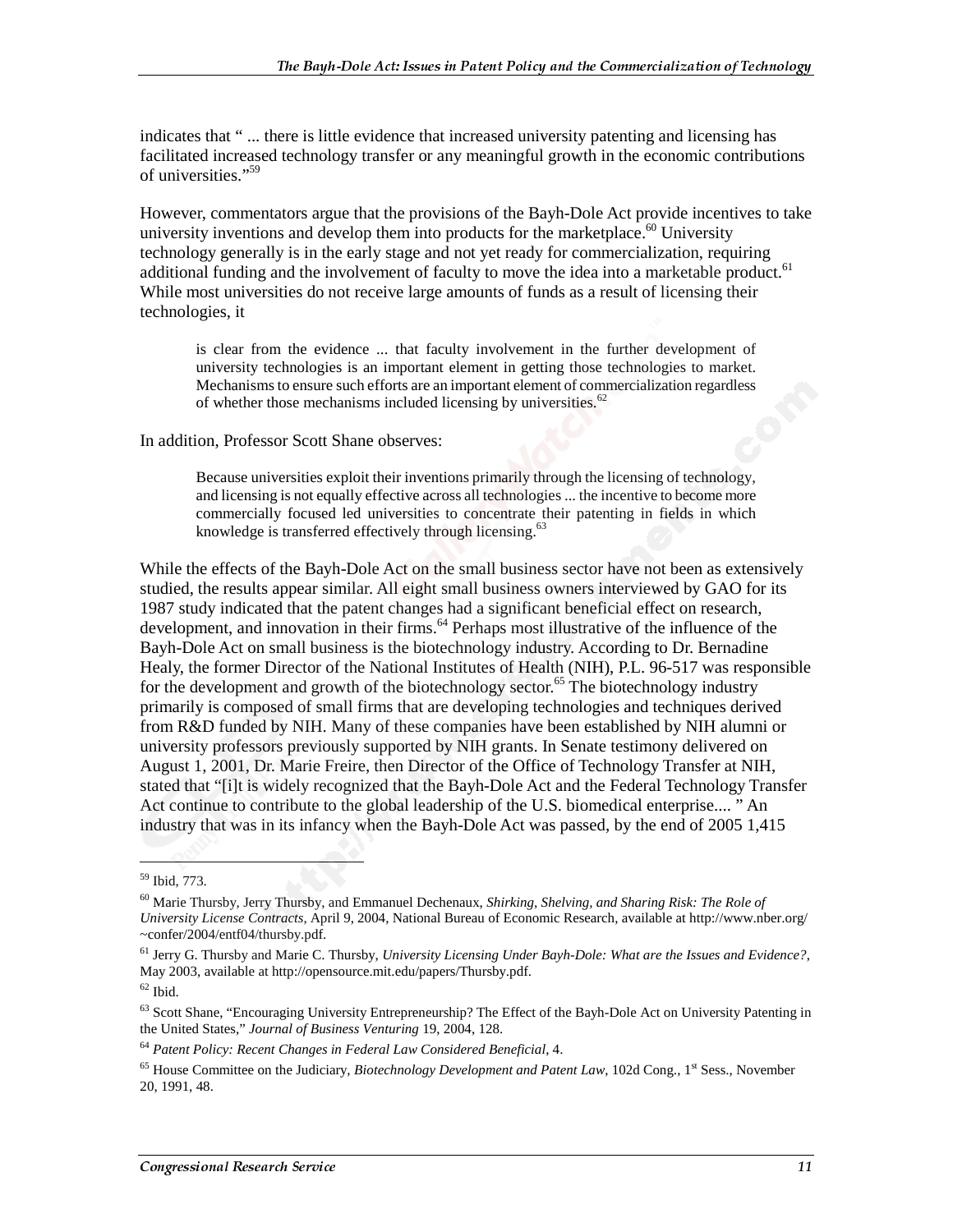indicates that " ... there is little evidence that increased university patenting and licensing has facilitated increased technology transfer or any meaningful growth in the economic contributions of universities."59

However, commentators argue that the provisions of the Bayh-Dole Act provide incentives to take university inventions and develop them into products for the marketplace.<sup>60</sup> University technology generally is in the early stage and not yet ready for commercialization, requiring additional funding and the involvement of faculty to move the idea into a marketable product.<sup>61</sup> While most universities do not receive large amounts of funds as a result of licensing their technologies, it

is clear from the evidence ... that faculty involvement in the further development of university technologies is an important element in getting those technologies to market. Mechanisms to ensure such efforts are an important element of commercialization regardless of whether those mechanisms included licensing by universities.<sup>62</sup>

In addition, Professor Scott Shane observes:

Because universities exploit their inventions primarily through the licensing of technology, and licensing is not equally effective across all technologies ... the incentive to become more commercially focused led universities to concentrate their patenting in fields in which knowledge is transferred effectively through licensing.<sup>63</sup>

While the effects of the Bayh-Dole Act on the small business sector have not been as extensively studied, the results appear similar. All eight small business owners interviewed by GAO for its 1987 study indicated that the patent changes had a significant beneficial effect on research, development, and innovation in their firms.<sup>64</sup> Perhaps most illustrative of the influence of the Bayh-Dole Act on small business is the biotechnology industry. According to Dr. Bernadine Healy, the former Director of the National Institutes of Health (NIH), P.L. 96-517 was responsible for the development and growth of the biotechnology sector.<sup>65</sup> The biotechnology industry primarily is composed of small firms that are developing technologies and techniques derived from R&D funded by NIH. Many of these companies have been established by NIH alumni or university professors previously supported by NIH grants. In Senate testimony delivered on August 1, 2001, Dr. Marie Freire, then Director of the Office of Technology Transfer at NIH, stated that "[i]t is widely recognized that the Bayh-Dole Act and the Federal Technology Transfer Act continue to contribute to the global leadership of the U.S. biomedical enterprise.... " An industry that was in its infancy when the Bayh-Dole Act was passed, by the end of 2005 1,415

1

<sup>59</sup> Ibid, 773.

<sup>60</sup> Marie Thursby, Jerry Thursby, and Emmanuel Dechenaux, *Shirking, Shelving, and Sharing Risk: The Role of University License Contracts*, April 9, 2004, National Bureau of Economic Research, available at http://www.nber.org/ ~confer/2004/entf04/thursby.pdf.

<sup>61</sup> Jerry G. Thursby and Marie C. Thursby, *University Licensing Under Bayh-Dole: What are the Issues and Evidence?*, May 2003, available at http://opensource.mit.edu/papers/Thursby.pdf.

 $62$  Ibid.

 $63$  Scott Shane, "Encouraging University Entrepreneurship? The Effect of the Bayh-Dole Act on University Patenting in the United States," *Journal of Business Venturing* 19, 2004, 128.

<sup>64</sup> *Patent Policy: Recent Changes in Federal Law Considered Beneficial*, 4.

<sup>&</sup>lt;sup>65</sup> House Committee on the Judiciary, *Biotechnology Development and Patent Law*, 102d Cong., 1<sup>st</sup> Sess., November 20, 1991, 48.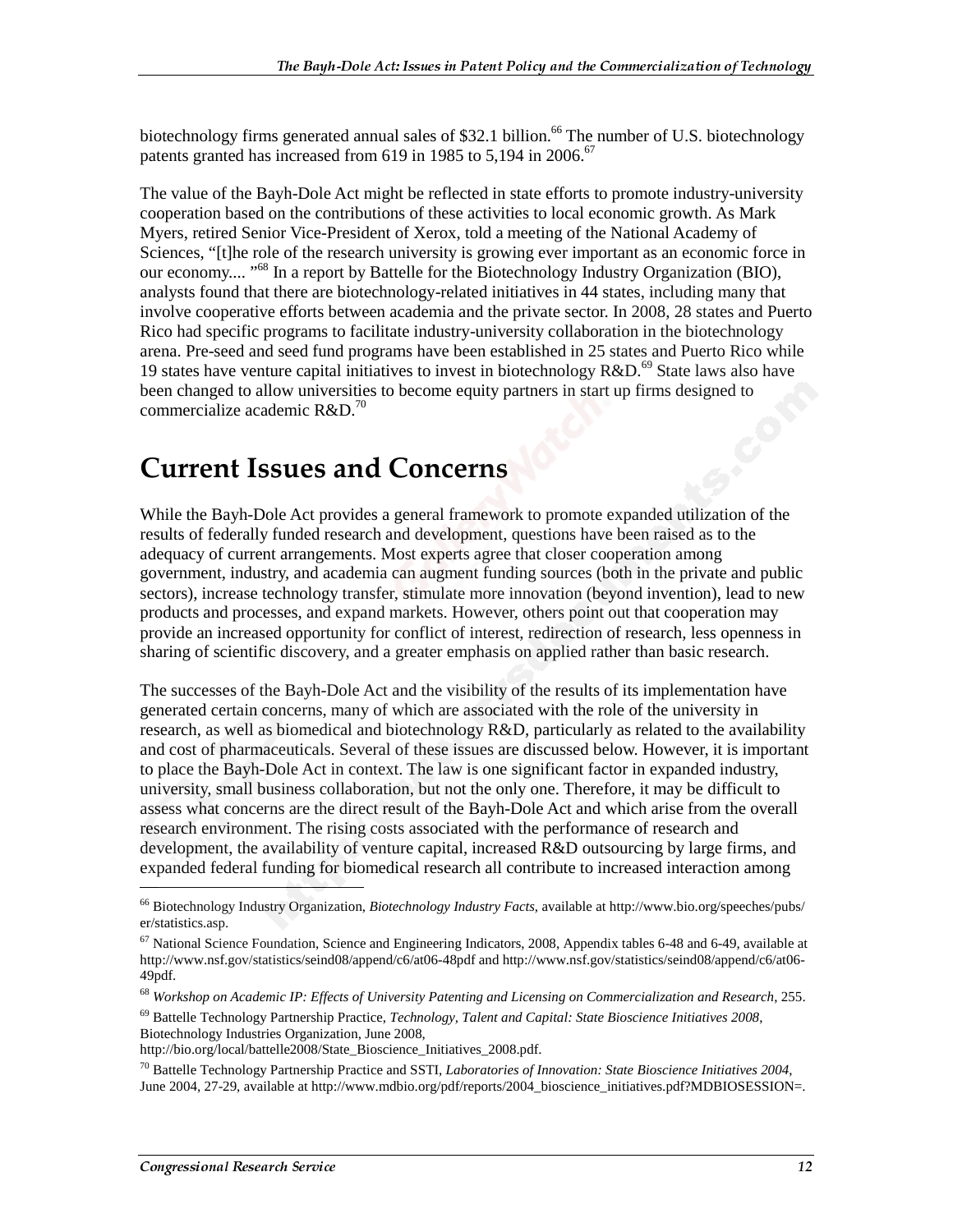biotechnology firms generated annual sales of \$32.1 billion.<sup>66</sup> The number of U.S. biotechnology patents granted has increased from 619 in 1985 to 5,194 in 2006.<sup>67</sup>

The value of the Bayh-Dole Act might be reflected in state efforts to promote industry-university cooperation based on the contributions of these activities to local economic growth. As Mark Myers, retired Senior Vice-President of Xerox, told a meeting of the National Academy of Sciences, "[t]he role of the research university is growing ever important as an economic force in our economy.... "<sup>68</sup> In a report by Battelle for the Biotechnology Industry Organization (BIO), analysts found that there are biotechnology-related initiatives in 44 states, including many that involve cooperative efforts between academia and the private sector. In 2008, 28 states and Puerto Rico had specific programs to facilitate industry-university collaboration in the biotechnology arena. Pre-seed and seed fund programs have been established in 25 states and Puerto Rico while 19 states have venture capital initiatives to invest in biotechnology  $R&D.<sup>69</sup>$  State laws also have been changed to allow universities to become equity partners in start up firms designed to commercialize academic  $R&D$ .<sup>70</sup>

### **Current Issues and Concerns**

While the Bayh-Dole Act provides a general framework to promote expanded utilization of the results of federally funded research and development, questions have been raised as to the adequacy of current arrangements. Most experts agree that closer cooperation among government, industry, and academia can augment funding sources (both in the private and public sectors), increase technology transfer, stimulate more innovation (beyond invention), lead to new products and processes, and expand markets. However, others point out that cooperation may provide an increased opportunity for conflict of interest, redirection of research, less openness in sharing of scientific discovery, and a greater emphasis on applied rather than basic research.

The successes of the Bayh-Dole Act and the visibility of the results of its implementation have generated certain concerns, many of which are associated with the role of the university in research, as well as biomedical and biotechnology  $R&D$ , particularly as related to the availability and cost of pharmaceuticals. Several of these issues are discussed below. However, it is important to place the Bayh-Dole Act in context. The law is one significant factor in expanded industry, university, small business collaboration, but not the only one. Therefore, it may be difficult to assess what concerns are the direct result of the Bayh-Dole Act and which arise from the overall research environment. The rising costs associated with the performance of research and development, the availability of venture capital, increased R&D outsourcing by large firms, and expanded federal funding for biomedical research all contribute to increased interaction among

<sup>66</sup> Biotechnology Industry Organization, *Biotechnology Industry Facts*, available at http://www.bio.org/speeches/pubs/ er/statistics.asp.

 $67$  National Science Foundation, Science and Engineering Indicators, 2008, Appendix tables 6-48 and 6-49, available at http://www.nsf.gov/statistics/seind08/append/c6/at06-48pdf and http://www.nsf.gov/statistics/seind08/append/c6/at06- 49pdf.

<sup>68</sup> *Workshop on Academic IP: Effects of University Patenting and Licensing on Commercialization and Research*, 255.

<sup>69</sup> Battelle Technology Partnership Practice, *Technology, Talent and Capital: State Bioscience Initiatives 2008*, Biotechnology Industries Organization, June 2008,

http://bio.org/local/battelle2008/State\_Bioscience\_Initiatives\_2008.pdf.

<sup>70</sup> Battelle Technology Partnership Practice and SSTI, *Laboratories of Innovation: State Bioscience Initiatives 2004*, June 2004, 27-29, available at http://www.mdbio.org/pdf/reports/2004\_bioscience\_initiatives.pdf?MDBIOSESSION=.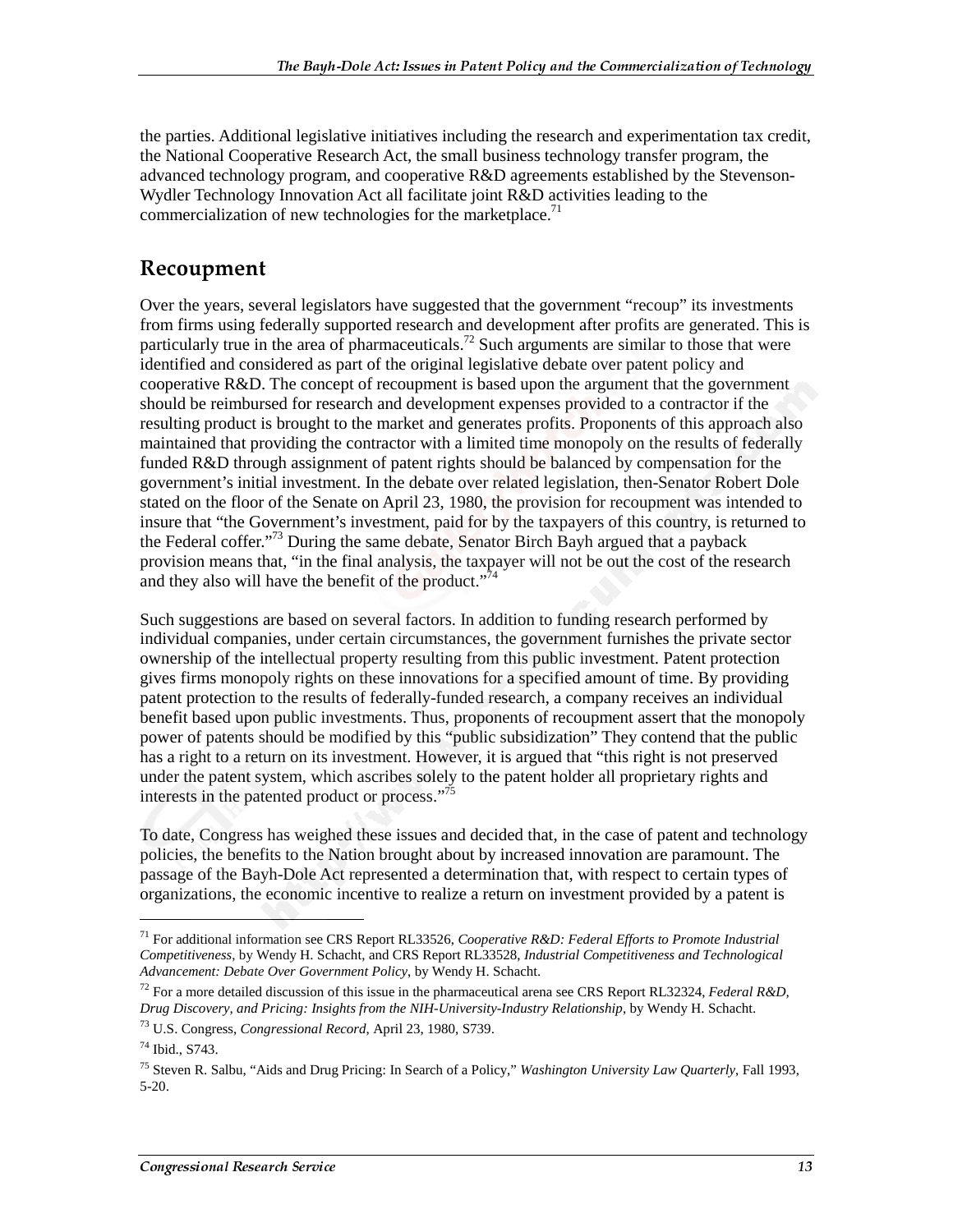the parties. Additional legislative initiatives including the research and experimentation tax credit, the National Cooperative Research Act, the small business technology transfer program, the advanced technology program, and cooperative R&D agreements established by the Stevenson-Wydler Technology Innovation Act all facilitate joint R&D activities leading to the commercialization of new technologies for the marketplace.<sup>71</sup>

#### Recoupment

Over the years, several legislators have suggested that the government "recoup" its investments from firms using federally supported research and development after profits are generated. This is particularly true in the area of pharmaceuticals.<sup>72</sup> Such arguments are similar to those that were identified and considered as part of the original legislative debate over patent policy and cooperative R&D. The concept of recoupment is based upon the argument that the government should be reimbursed for research and development expenses provided to a contractor if the resulting product is brought to the market and generates profits. Proponents of this approach also maintained that providing the contractor with a limited time monopoly on the results of federally funded R&D through assignment of patent rights should be balanced by compensation for the government's initial investment. In the debate over related legislation, then-Senator Robert Dole stated on the floor of the Senate on April 23, 1980, the provision for recoupment was intended to insure that "the Government's investment, paid for by the taxpayers of this country, is returned to the Federal coffer."73 During the same debate, Senator Birch Bayh argued that a payback provision means that, "in the final analysis, the taxpayer will not be out the cost of the research and they also will have the benefit of the product."<sup>74</sup>

Such suggestions are based on several factors. In addition to funding research performed by individual companies, under certain circumstances, the government furnishes the private sector ownership of the intellectual property resulting from this public investment. Patent protection gives firms monopoly rights on these innovations for a specified amount of time. By providing patent protection to the results of federally-funded research, a company receives an individual benefit based upon public investments. Thus, proponents of recoupment assert that the monopoly power of patents should be modified by this "public subsidization" They contend that the public has a right to a return on its investment. However, it is argued that "this right is not preserved under the patent system, which ascribes solely to the patent holder all proprietary rights and interests in the patented product or process."<sup>75</sup>

To date, Congress has weighed these issues and decided that, in the case of patent and technology policies, the benefits to the Nation brought about by increased innovation are paramount. The passage of the Bayh-Dole Act represented a determination that, with respect to certain types of organizations, the economic incentive to realize a return on investment provided by a patent is

<sup>71</sup> For additional information see CRS Report RL33526, *Cooperative R&D: Federal Efforts to Promote Industrial Competitiveness*, by Wendy H. Schacht, and CRS Report RL33528, *Industrial Competitiveness and Technological Advancement: Debate Over Government Policy*, by Wendy H. Schacht.

<sup>72</sup> For a more detailed discussion of this issue in the pharmaceutical arena see CRS Report RL32324, *Federal R&D, Drug Discovery, and Pricing: Insights from the NIH-University-Industry Relationship*, by Wendy H. Schacht.

<sup>73</sup> U.S. Congress, *Congressional Record*, April 23, 1980, S739.

<sup>74</sup> Ibid., S743.

<sup>75</sup> Steven R. Salbu, "Aids and Drug Pricing: In Search of a Policy," *Washington University Law Quarterly*, Fall 1993, 5-20.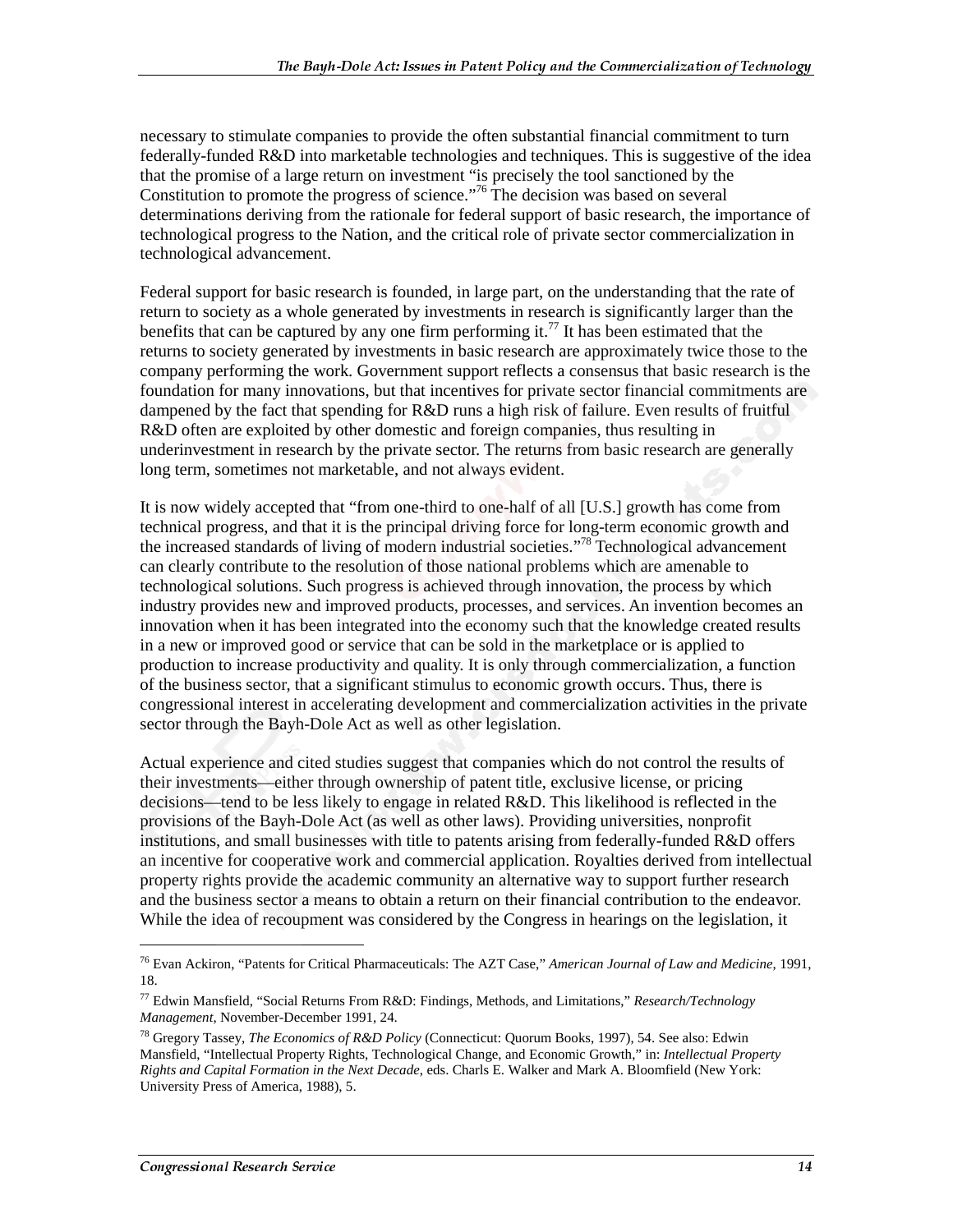necessary to stimulate companies to provide the often substantial financial commitment to turn federally-funded R&D into marketable technologies and techniques. This is suggestive of the idea that the promise of a large return on investment "is precisely the tool sanctioned by the Constitution to promote the progress of science.<sup>"76</sup> The decision was based on several determinations deriving from the rationale for federal support of basic research, the importance of technological progress to the Nation, and the critical role of private sector commercialization in technological advancement.

Federal support for basic research is founded, in large part, on the understanding that the rate of return to society as a whole generated by investments in research is significantly larger than the benefits that can be captured by any one firm performing it.<sup>77</sup> It has been estimated that the returns to society generated by investments in basic research are approximately twice those to the company performing the work. Government support reflects a consensus that basic research is the foundation for many innovations, but that incentives for private sector financial commitments are dampened by the fact that spending for R&D runs a high risk of failure. Even results of fruitful R&D often are exploited by other domestic and foreign companies, thus resulting in underinvestment in research by the private sector. The returns from basic research are generally long term, sometimes not marketable, and not always evident.

It is now widely accepted that "from one-third to one-half of all [U.S.] growth has come from technical progress, and that it is the principal driving force for long-term economic growth and the increased standards of living of modern industrial societies."78 Technological advancement can clearly contribute to the resolution of those national problems which are amenable to technological solutions. Such progress is achieved through innovation, the process by which industry provides new and improved products, processes, and services. An invention becomes an innovation when it has been integrated into the economy such that the knowledge created results in a new or improved good or service that can be sold in the marketplace or is applied to production to increase productivity and quality. It is only through commercialization, a function of the business sector, that a significant stimulus to economic growth occurs. Thus, there is congressional interest in accelerating development and commercialization activities in the private sector through the Bayh-Dole Act as well as other legislation.

Actual experience and cited studies suggest that companies which do not control the results of their investments—either through ownership of patent title, exclusive license, or pricing decisions—tend to be less likely to engage in related  $R&D$ . This likelihood is reflected in the provisions of the Bayh-Dole Act (as well as other laws). Providing universities, nonprofit institutions, and small businesses with title to patents arising from federally-funded R&D offers an incentive for cooperative work and commercial application. Royalties derived from intellectual property rights provide the academic community an alternative way to support further research and the business sector a means to obtain a return on their financial contribution to the endeavor. While the idea of recoupment was considered by the Congress in hearings on the legislation, it

<sup>76</sup> Evan Ackiron, "Patents for Critical Pharmaceuticals: The AZT Case," *American Journal of Law and Medicine*, 1991, 18.

<sup>77</sup> Edwin Mansfield, "Social Returns From R&D: Findings, Methods, and Limitations," *Research/Technology Management*, November-December 1991, 24.

<sup>78</sup> Gregory Tassey, *The Economics of R&D Policy* (Connecticut: Quorum Books, 1997), 54. See also: Edwin Mansfield, "Intellectual Property Rights, Technological Change, and Economic Growth," in: *Intellectual Property Rights and Capital Formation in the Next Decade*, eds. Charls E. Walker and Mark A. Bloomfield (New York: University Press of America, 1988), 5.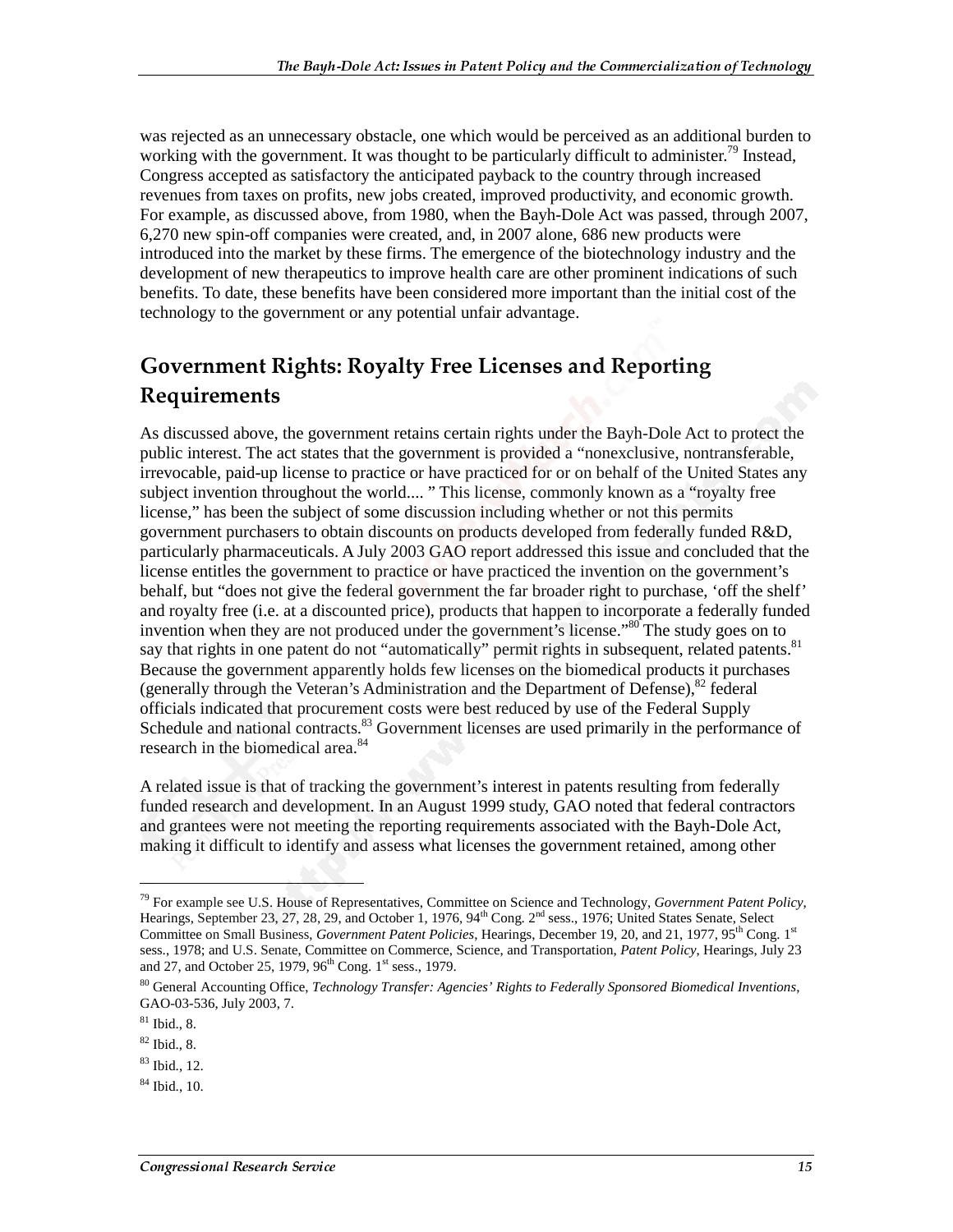was rejected as an unnecessary obstacle, one which would be perceived as an additional burden to working with the government. It was thought to be particularly difficult to administer.<sup>79</sup> Instead, Congress accepted as satisfactory the anticipated payback to the country through increased revenues from taxes on profits, new jobs created, improved productivity, and economic growth. For example, as discussed above, from 1980, when the Bayh-Dole Act was passed, through 2007, 6,270 new spin-off companies were created, and, in 2007 alone, 686 new products were introduced into the market by these firms. The emergence of the biotechnology industry and the development of new therapeutics to improve health care are other prominent indications of such benefits. To date, these benefits have been considered more important than the initial cost of the technology to the government or any potential unfair advantage.

### Government Rights: Royalty Free Licenses and Reporting **Requirements**

As discussed above, the government retains certain rights under the Bayh-Dole Act to protect the public interest. The act states that the government is provided a "nonexclusive, nontransferable, irrevocable, paid-up license to practice or have practiced for or on behalf of the United States any subject invention throughout the world.... " This license, commonly known as a "royalty free license," has been the subject of some discussion including whether or not this permits government purchasers to obtain discounts on products developed from federally funded R&D, particularly pharmaceuticals. A July 2003 GAO report addressed this issue and concluded that the license entitles the government to practice or have practiced the invention on the government's behalf, but "does not give the federal government the far broader right to purchase, 'off the shelf' and royalty free (i.e. at a discounted price), products that happen to incorporate a federally funded invention when they are not produced under the government's license."80 The study goes on to say that rights in one patent do not "automatically" permit rights in subsequent, related patents.<sup>81</sup> Because the government apparently holds few licenses on the biomedical products it purchases (generally through the Veteran's Administration and the Department of Defense),<sup>82</sup> federal officials indicated that procurement costs were best reduced by use of the Federal Supply Schedule and national contracts.<sup>83</sup> Government licenses are used primarily in the performance of research in the biomedical area.<sup>84</sup>

A related issue is that of tracking the government's interest in patents resulting from federally funded research and development. In an August 1999 study, GAO noted that federal contractors and grantees were not meeting the reporting requirements associated with the Bayh-Dole Act, making it difficult to identify and assess what licenses the government retained, among other

<sup>79</sup> For example see U.S. House of Representatives, Committee on Science and Technology, *Government Patent Policy*, Hearings, September 23, 27, 28, 29, and October 1, 1976, 94<sup>th</sup> Cong. 2<sup>nd</sup> sess., 1976; United States Senate, Select Committee on Small Business, *Government Patent Policies*, Hearings, December 19, 20, and 21, 1977, 95<sup>th</sup> Cong. 1<sup>st</sup> sess., 1978; and U.S. Senate, Committee on Commerce, Science, and Transportation, *Patent Policy*, Hearings, July 23 and 27, and October 25, 1979, 96<sup>th</sup> Cong. 1<sup>st</sup> sess., 1979.

<sup>80</sup> General Accounting Office, *Technology Transfer: Agencies' Rights to Federally Sponsored Biomedical Inventions*, GAO-03-536, July 2003, 7.

 $81$  Ibid., 8.

<sup>82</sup> Ibid., 8.

 $83$  Ibid., 12.

 $84$  Ibid., 10.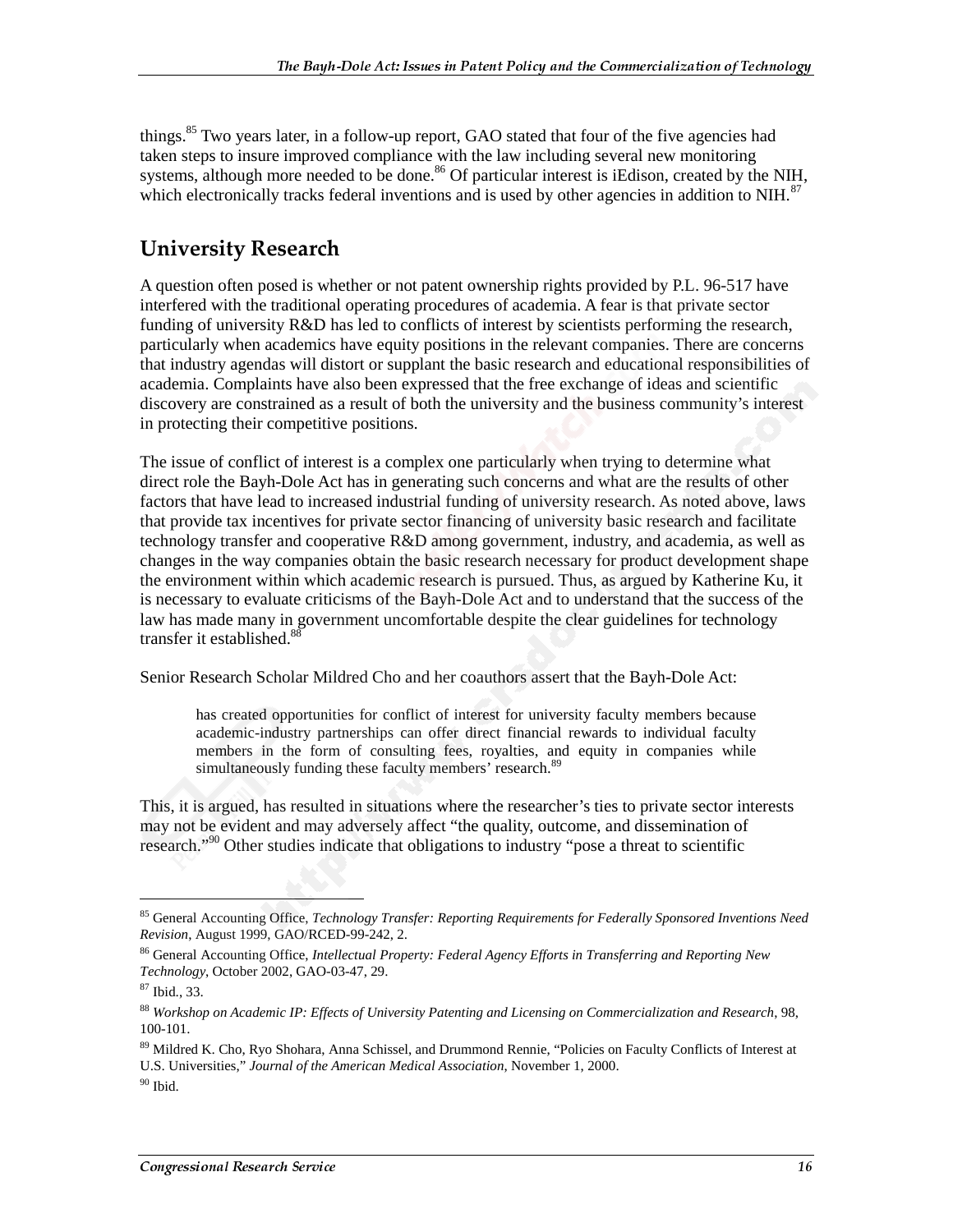things.<sup>85</sup> Two years later, in a follow-up report, GAO stated that four of the five agencies had taken steps to insure improved compliance with the law including several new monitoring systems, although more needed to be done.<sup>86</sup> Of particular interest is iEdison, created by the NIH, which electronically tracks federal inventions and is used by other agencies in addition to NIH. $^{87}$ 

### **University Research**

A question often posed is whether or not patent ownership rights provided by P.L. 96-517 have interfered with the traditional operating procedures of academia. A fear is that private sector funding of university R&D has led to conflicts of interest by scientists performing the research, particularly when academics have equity positions in the relevant companies. There are concerns that industry agendas will distort or supplant the basic research and educational responsibilities of academia. Complaints have also been expressed that the free exchange of ideas and scientific discovery are constrained as a result of both the university and the business community's interest in protecting their competitive positions.

The issue of conflict of interest is a complex one particularly when trying to determine what direct role the Bayh-Dole Act has in generating such concerns and what are the results of other factors that have lead to increased industrial funding of university research. As noted above, laws that provide tax incentives for private sector financing of university basic research and facilitate technology transfer and cooperative R&D among government, industry, and academia, as well as changes in the way companies obtain the basic research necessary for product development shape the environment within which academic research is pursued. Thus, as argued by Katherine Ku, it is necessary to evaluate criticisms of the Bayh-Dole Act and to understand that the success of the law has made many in government uncomfortable despite the clear guidelines for technology transfer it established.<sup>88</sup>

Senior Research Scholar Mildred Cho and her coauthors assert that the Bayh-Dole Act:

has created opportunities for conflict of interest for university faculty members because academic-industry partnerships can offer direct financial rewards to individual faculty members in the form of consulting fees, royalties, and equity in companies while simultaneously funding these faculty members' research.<sup>89</sup>

This, it is argued, has resulted in situations where the researcher's ties to private sector interests may not be evident and may adversely affect "the quality, outcome, and dissemination of research."<sup>90</sup> Other studies indicate that obligations to industry "pose a threat to scientific

<sup>85</sup> General Accounting Office, *Technology Transfer: Reporting Requirements for Federally Sponsored Inventions Need Revision*, August 1999, GAO/RCED-99-242, 2.

<sup>86</sup> General Accounting Office, *Intellectual Property: Federal Agency Efforts in Transferring and Reporting New Technology*, October 2002, GAO-03-47, 29.

<sup>87</sup> Ibid., 33.

<sup>88</sup> *Workshop on Academic IP: Effects of University Patenting and Licensing on Commercialization and Research*, 98, 100-101.

<sup>89</sup> Mildred K. Cho, Ryo Shohara, Anna Schissel, and Drummond Rennie, "Policies on Faculty Conflicts of Interest at U.S. Universities," *Journal of the American Medical Association*, November 1, 2000.

 $90$  Ibid.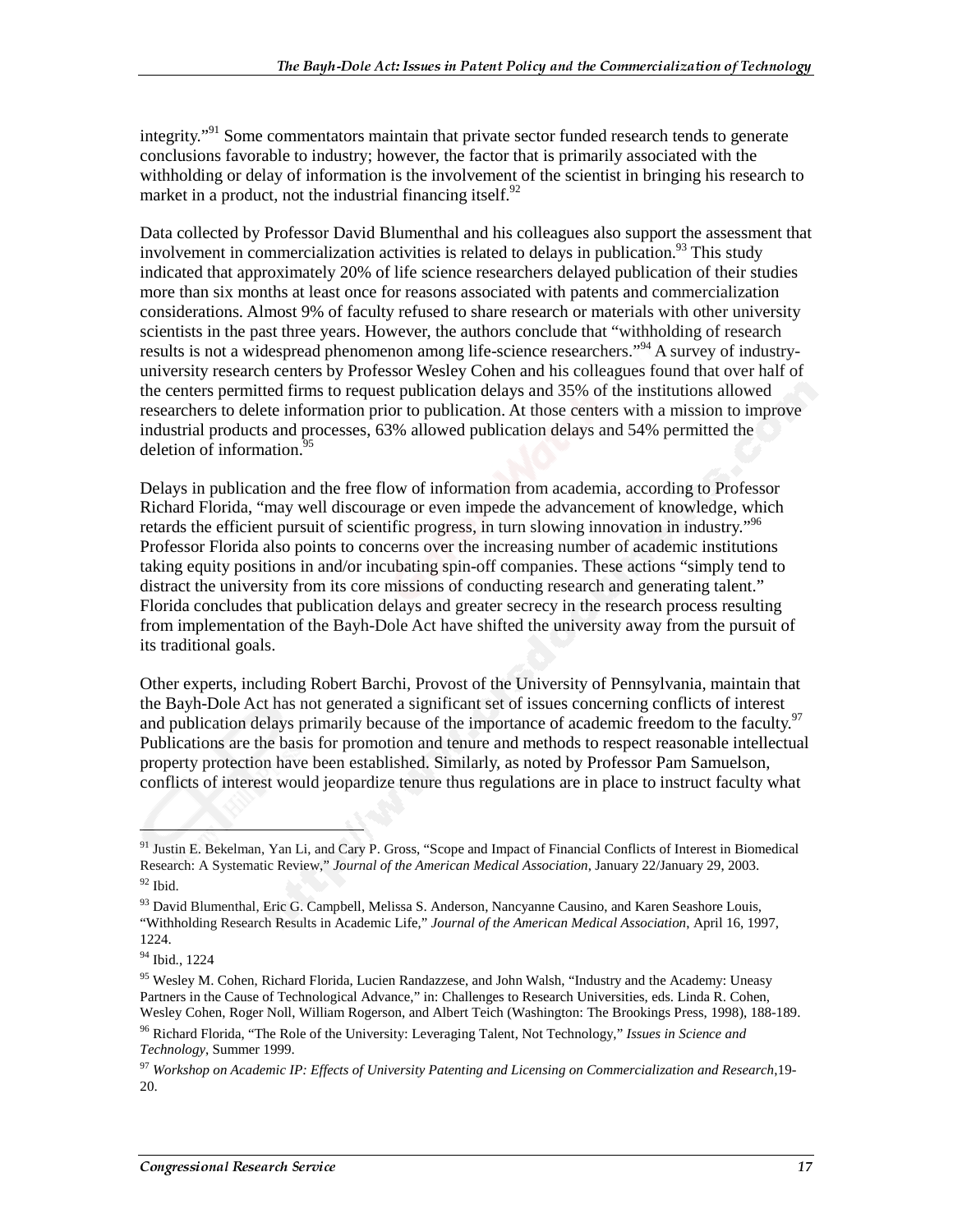integrity."<sup>91</sup> Some commentators maintain that private sector funded research tends to generate conclusions favorable to industry; however, the factor that is primarily associated with the withholding or delay of information is the involvement of the scientist in bringing his research to market in a product, not the industrial financing itself. $92$ 

Data collected by Professor David Blumenthal and his colleagues also support the assessment that involvement in commercialization activities is related to delays in publication.<sup>93</sup> This study indicated that approximately 20% of life science researchers delayed publication of their studies more than six months at least once for reasons associated with patents and commercialization considerations. Almost 9% of faculty refused to share research or materials with other university scientists in the past three years. However, the authors conclude that "withholding of research results is not a widespread phenomenon among life-science researchers."<sup>94</sup> A survey of industryuniversity research centers by Professor Wesley Cohen and his colleagues found that over half of the centers permitted firms to request publication delays and 35% of the institutions allowed researchers to delete information prior to publication. At those centers with a mission to improve industrial products and processes, 63% allowed publication delays and 54% permitted the deletion of information.<sup>95</sup>

Delays in publication and the free flow of information from academia, according to Professor Richard Florida, "may well discourage or even impede the advancement of knowledge, which retards the efficient pursuit of scientific progress, in turn slowing innovation in industry."<sup>96</sup> Professor Florida also points to concerns over the increasing number of academic institutions taking equity positions in and/or incubating spin-off companies. These actions "simply tend to distract the university from its core missions of conducting research and generating talent." Florida concludes that publication delays and greater secrecy in the research process resulting from implementation of the Bayh-Dole Act have shifted the university away from the pursuit of its traditional goals.

Other experts, including Robert Barchi, Provost of the University of Pennsylvania, maintain that the Bayh-Dole Act has not generated a significant set of issues concerning conflicts of interest and publication delays primarily because of the importance of academic freedom to the faculty.<sup>97</sup> Publications are the basis for promotion and tenure and methods to respect reasonable intellectual property protection have been established. Similarly, as noted by Professor Pam Samuelson, conflicts of interest would jeopardize tenure thus regulations are in place to instruct faculty what

l

<sup>&</sup>lt;sup>91</sup> Justin E. Bekelman, Yan Li, and Cary P. Gross, "Scope and Impact of Financial Conflicts of Interest in Biomedical Research: A Systematic Review," *Journal of the American Medical Association*, January 22/January 29, 2003.  $^{92}$  Ibid.

<sup>93</sup> David Blumenthal, Eric G. Campbell, Melissa S. Anderson, Nancyanne Causino, and Karen Seashore Louis, "Withholding Research Results in Academic Life," *Journal of the American Medical Association*, April 16, 1997, 1224.

<sup>94</sup> Ibid., 1224

<sup>&</sup>lt;sup>95</sup> Wesley M. Cohen, Richard Florida, Lucien Randazzese, and John Walsh, "Industry and the Academy: Uneasy Partners in the Cause of Technological Advance," in: Challenges to Research Universities, eds. Linda R. Cohen, Wesley Cohen, Roger Noll, William Rogerson, and Albert Teich (Washington: The Brookings Press, 1998), 188-189.

<sup>96</sup> Richard Florida, "The Role of the University: Leveraging Talent, Not Technology," *Issues in Science and Technology*, Summer 1999.

<sup>97</sup> *Workshop on Academic IP: Effects of University Patenting and Licensing on Commercialization and Research*,19- 20.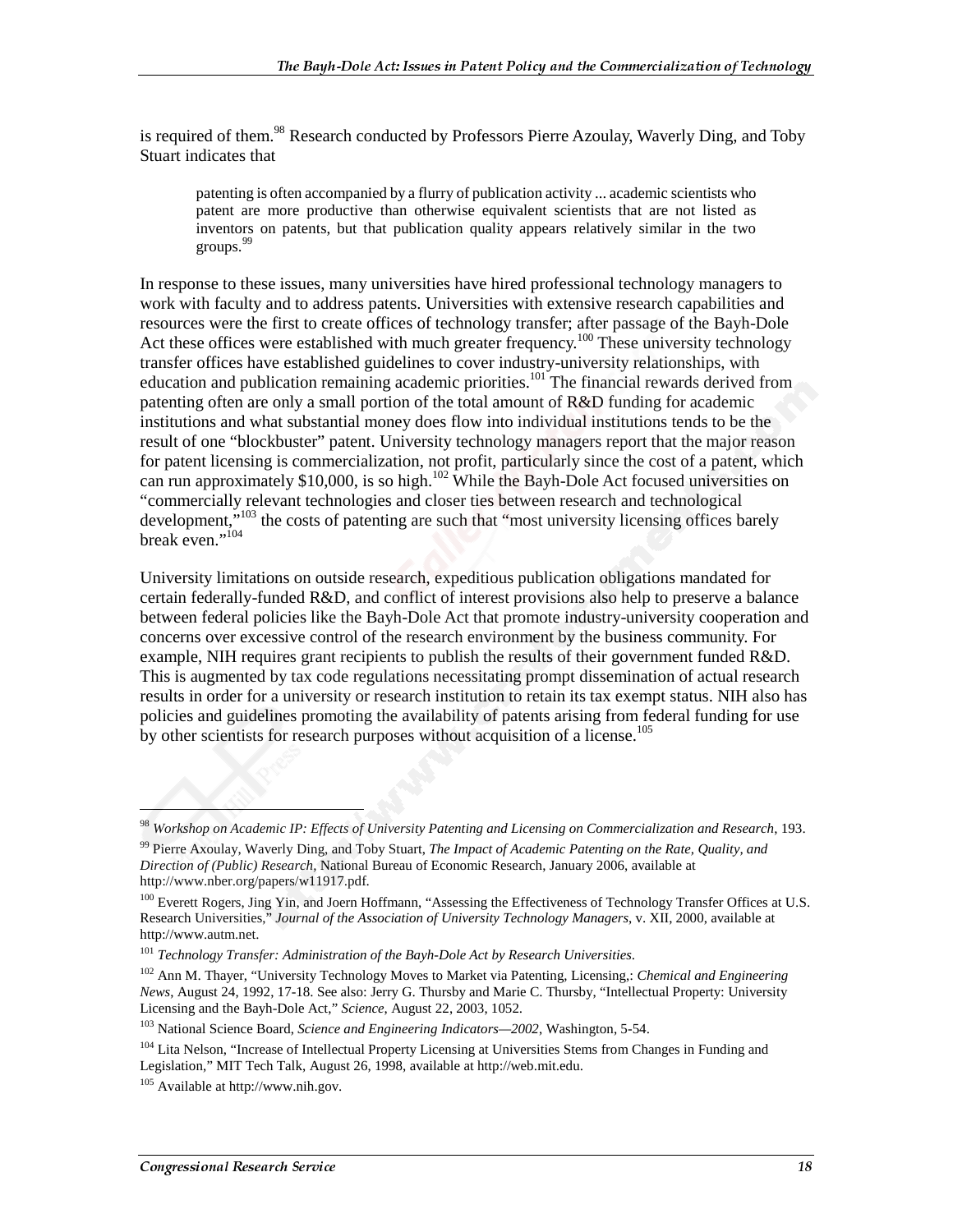is required of them.<sup>98</sup> Research conducted by Professors Pierre Azoulay, Waverly Ding, and Toby Stuart indicates that

patenting is often accompanied by a flurry of publication activity ... academic scientists who patent are more productive than otherwise equivalent scientists that are not listed as inventors on patents, but that publication quality appears relatively similar in the two groups.<sup>99</sup>

In response to these issues, many universities have hired professional technology managers to work with faculty and to address patents. Universities with extensive research capabilities and resources were the first to create offices of technology transfer; after passage of the Bayh-Dole Act these offices were established with much greater frequency.<sup>100</sup> These university technology transfer offices have established guidelines to cover industry-university relationships, with education and publication remaining academic priorities.<sup>101</sup> The financial rewards derived from patenting often are only a small portion of the total amount of R&D funding for academic institutions and what substantial money does flow into individual institutions tends to be the result of one "blockbuster" patent. University technology managers report that the major reason for patent licensing is commercialization, not profit, particularly since the cost of a patent, which can run approximately \$10,000, is so high.<sup>102</sup> While the Bayh-Dole Act focused universities on "commercially relevant technologies and closer ties between research and technological development,"<sup>103</sup> the costs of patenting are such that "most university licensing offices barely break even."<sup>104</sup>

University limitations on outside research, expeditious publication obligations mandated for certain federally-funded R&D, and conflict of interest provisions also help to preserve a balance between federal policies like the Bayh-Dole Act that promote industry-university cooperation and concerns over excessive control of the research environment by the business community. For example, NIH requires grant recipients to publish the results of their government funded R&D. This is augmented by tax code regulations necessitating prompt dissemination of actual research results in order for a university or research institution to retain its tax exempt status. NIH also has policies and guidelines promoting the availability of patents arising from federal funding for use by other scientists for research purposes without acquisition of a license.<sup>105</sup>

1

<sup>98</sup> *Workshop on Academic IP: Effects of University Patenting and Licensing on Commercialization and Research*, 193.

<sup>99</sup> Pierre Axoulay, Waverly Ding, and Toby Stuart, *The Impact of Academic Patenting on the Rate, Quality, and Direction of (Public) Research*, National Bureau of Economic Research, January 2006, available at http://www.nber.org/papers/w11917.pdf.

<sup>&</sup>lt;sup>100</sup> Everett Rogers, Jing Yin, and Joern Hoffmann, "Assessing the Effectiveness of Technology Transfer Offices at U.S. Research Universities," *Journal of the Association of University Technology Managers*, v. XII, 2000, available at http://www.autm.net.

<sup>101</sup> *Technology Transfer: Administration of the Bayh-Dole Act by Research Universities*.

<sup>102</sup> Ann M. Thayer, "University Technology Moves to Market via Patenting, Licensing,: *Chemical and Engineering News*, August 24, 1992, 17-18. See also: Jerry G. Thursby and Marie C. Thursby, "Intellectual Property: University Licensing and the Bayh-Dole Act," *Science*, August 22, 2003, 1052.

<sup>103</sup> National Science Board, *Science and Engineering Indicators—2002*, Washington, 5-54.

<sup>&</sup>lt;sup>104</sup> Lita Nelson, "Increase of Intellectual Property Licensing at Universities Stems from Changes in Funding and Legislation," MIT Tech Talk, August 26, 1998, available at http://web.mit.edu.

<sup>105</sup> Available at http://www.nih.gov.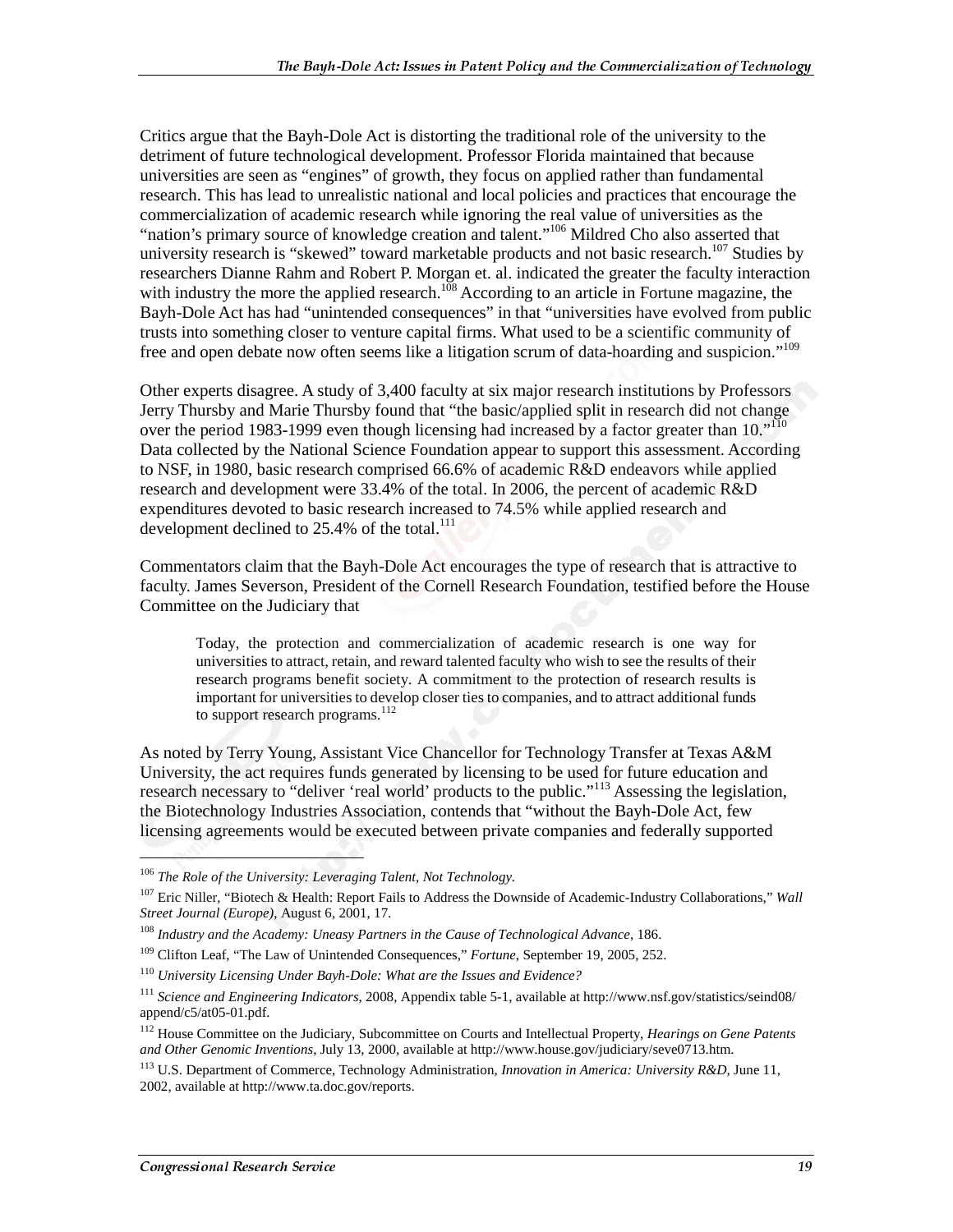Critics argue that the Bayh-Dole Act is distorting the traditional role of the university to the detriment of future technological development. Professor Florida maintained that because universities are seen as "engines" of growth, they focus on applied rather than fundamental research. This has lead to unrealistic national and local policies and practices that encourage the commercialization of academic research while ignoring the real value of universities as the "nation's primary source of knowledge creation and talent."<sup>106</sup> Mildred Cho also asserted that university research is "skewed" toward marketable products and not basic research.<sup>107</sup> Studies by researchers Dianne Rahm and Robert P. Morgan et. al. indicated the greater the faculty interaction with industry the more the applied research.<sup>108</sup> According to an article in Fortune magazine, the Bayh-Dole Act has had "unintended consequences" in that "universities have evolved from public trusts into something closer to venture capital firms. What used to be a scientific community of free and open debate now often seems like a litigation scrum of data-hoarding and suspicion."109

Other experts disagree. A study of 3,400 faculty at six major research institutions by Professors Jerry Thursby and Marie Thursby found that "the basic/applied split in research did not change over the period 1983-1999 even though licensing had increased by a factor greater than  $10.^{110}$ Data collected by the National Science Foundation appear to support this assessment. According to NSF, in 1980, basic research comprised 66.6% of academic R&D endeavors while applied research and development were 33.4% of the total. In 2006, the percent of academic R&D expenditures devoted to basic research increased to 74.5% while applied research and development declined to  $25.4\%$  of the total.<sup>111</sup>

Commentators claim that the Bayh-Dole Act encourages the type of research that is attractive to faculty. James Severson, President of the Cornell Research Foundation, testified before the House Committee on the Judiciary that

Today, the protection and commercialization of academic research is one way for universities to attract, retain, and reward talented faculty who wish to see the results of their research programs benefit society. A commitment to the protection of research results is important for universities to develop closer ties to companies, and to attract additional funds to support research programs.<sup>112</sup>

As noted by Terry Young, Assistant Vice Chancellor for Technology Transfer at Texas A&M University, the act requires funds generated by licensing to be used for future education and research necessary to "deliver 'real world' products to the public."<sup>113</sup> Assessing the legislation, the Biotechnology Industries Association, contends that "without the Bayh-Dole Act, few licensing agreements would be executed between private companies and federally supported

1

<sup>106</sup> *The Role of the University: Leveraging Talent, Not Technology.*

<sup>107</sup> Eric Niller, "Biotech & Health: Report Fails to Address the Downside of Academic-Industry Collaborations," *Wall Street Journal (Europe)*, August 6, 2001, 17.

<sup>108</sup> *Industry and the Academy: Uneasy Partners in the Cause of Technological Advance*, 186.

<sup>109</sup> Clifton Leaf, "The Law of Unintended Consequences," *Fortune*, September 19, 2005, 252.

<sup>110</sup> *University Licensing Under Bayh-Dole: What are the Issues and Evidence?*

<sup>111</sup> *Science and Engineering Indicators*, 2008, Appendix table 5-1, available at http://www.nsf.gov/statistics/seind08/ append/c5/at05-01.pdf.

<sup>112</sup> House Committee on the Judiciary, Subcommittee on Courts and Intellectual Property, *Hearings on Gene Patents and Other Genomic Inventions*, July 13, 2000, available at http://www.house.gov/judiciary/seve0713.htm.

<sup>113</sup> U.S. Department of Commerce, Technology Administration, *Innovation in America: University R&D*, June 11, 2002, available at http://www.ta.doc.gov/reports.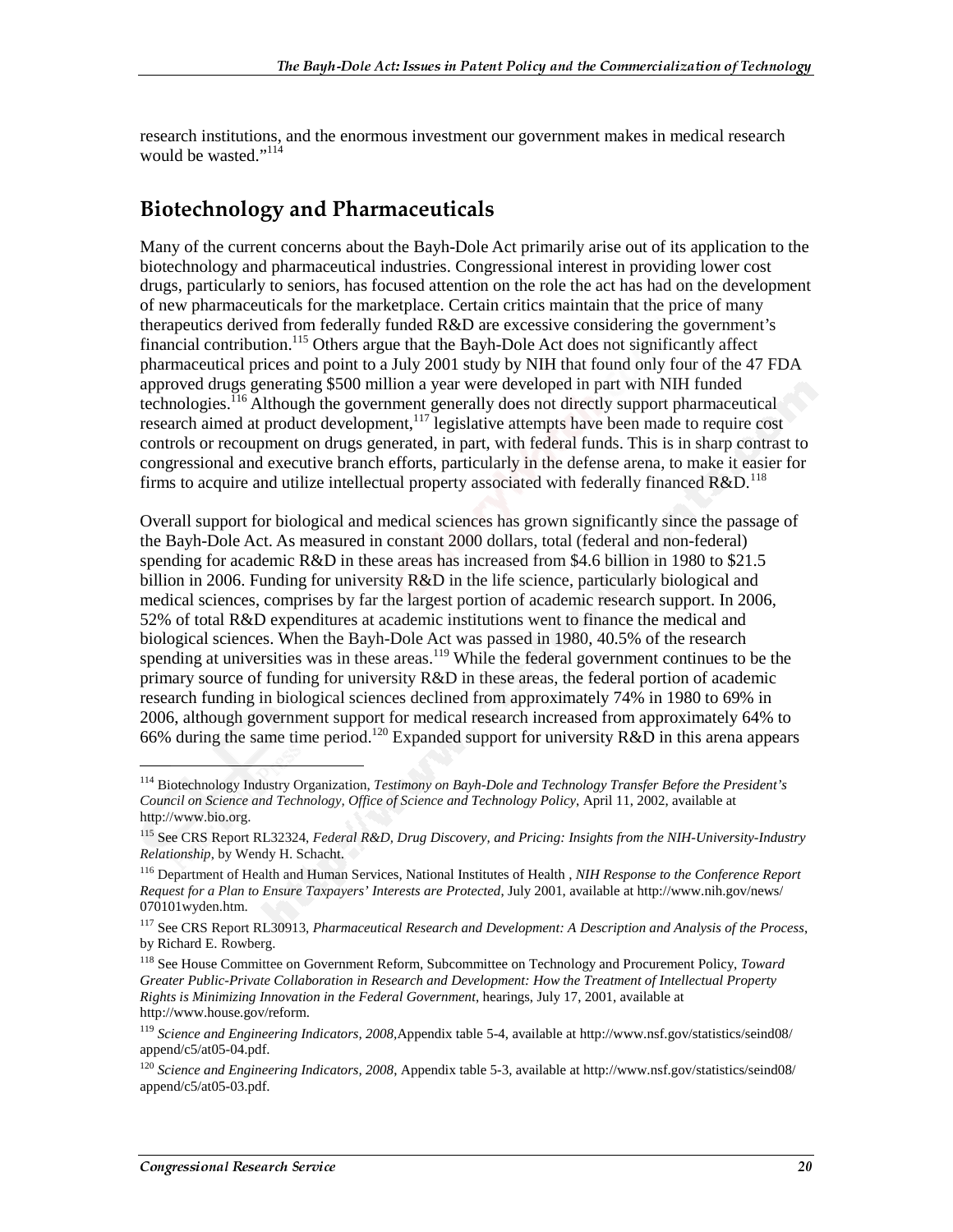research institutions, and the enormous investment our government makes in medical research would be wasted."<sup>114</sup>

#### **Biotechnology and Pharmaceuticals**

Many of the current concerns about the Bayh-Dole Act primarily arise out of its application to the biotechnology and pharmaceutical industries. Congressional interest in providing lower cost drugs, particularly to seniors, has focused attention on the role the act has had on the development of new pharmaceuticals for the marketplace. Certain critics maintain that the price of many therapeutics derived from federally funded R&D are excessive considering the government's financial contribution.<sup>115</sup> Others argue that the Bayh-Dole Act does not significantly affect pharmaceutical prices and point to a July 2001 study by NIH that found only four of the 47 FDA approved drugs generating \$500 million a year were developed in part with NIH funded technologies.116 Although the government generally does not directly support pharmaceutical research aimed at product development,<sup>117</sup> legislative attempts have been made to require cost controls or recoupment on drugs generated, in part, with federal funds. This is in sharp contrast to congressional and executive branch efforts, particularly in the defense arena, to make it easier for firms to acquire and utilize intellectual property associated with federally financed  $R&D$ .<sup>118</sup>

Overall support for biological and medical sciences has grown significantly since the passage of the Bayh-Dole Act. As measured in constant 2000 dollars, total (federal and non-federal) spending for academic R&D in these areas has increased from \$4.6 billion in 1980 to \$21.5 billion in 2006. Funding for university R&D in the life science, particularly biological and medical sciences, comprises by far the largest portion of academic research support. In 2006, 52% of total R&D expenditures at academic institutions went to finance the medical and biological sciences. When the Bayh-Dole Act was passed in 1980, 40.5% of the research spending at universities was in these areas.<sup>119</sup> While the federal government continues to be the primary source of funding for university R&D in these areas, the federal portion of academic research funding in biological sciences declined from approximately 74% in 1980 to 69% in 2006, although government support for medical research increased from approximately 64% to 66% during the same time period.<sup>120</sup> Expanded support for university  $R&D$  in this arena appears

<sup>114</sup> Biotechnology Industry Organization, *Testimony on Bayh-Dole and Technology Transfer Before the President's Council on Science and Technology, Office of Science and Technology Policy*, April 11, 2002, available at http://www.bio.org.

<sup>115</sup> See CRS Report RL32324, *Federal R&D, Drug Discovery, and Pricing: Insights from the NIH-University-Industry Relationship*, by Wendy H. Schacht.

<sup>116</sup> Department of Health and Human Services, National Institutes of Health , *NIH Response to the Conference Report Request for a Plan to Ensure Taxpayers' Interests are Protected*, July 2001, available at http://www.nih.gov/news/ 070101wyden.htm.

<sup>117</sup> See CRS Report RL30913, *Pharmaceutical Research and Development: A Description and Analysis of the Process*, by Richard E. Rowberg.

<sup>118</sup> See House Committee on Government Reform, Subcommittee on Technology and Procurement Policy, *Toward Greater Public-Private Collaboration in Research and Development: How the Treatment of Intellectual Property Rights is Minimizing Innovation in the Federal Government*, hearings, July 17, 2001, available at http://www.house.gov/reform.

<sup>119</sup> *Science and Engineering Indicators, 2008,*Appendix table 5-4, available at http://www.nsf.gov/statistics/seind08/ append/c5/at05-04.pdf.

<sup>120</sup> *Science and Engineering Indicators, 2008*, Appendix table 5-3, available at http://www.nsf.gov/statistics/seind08/ append/c5/at05-03.pdf.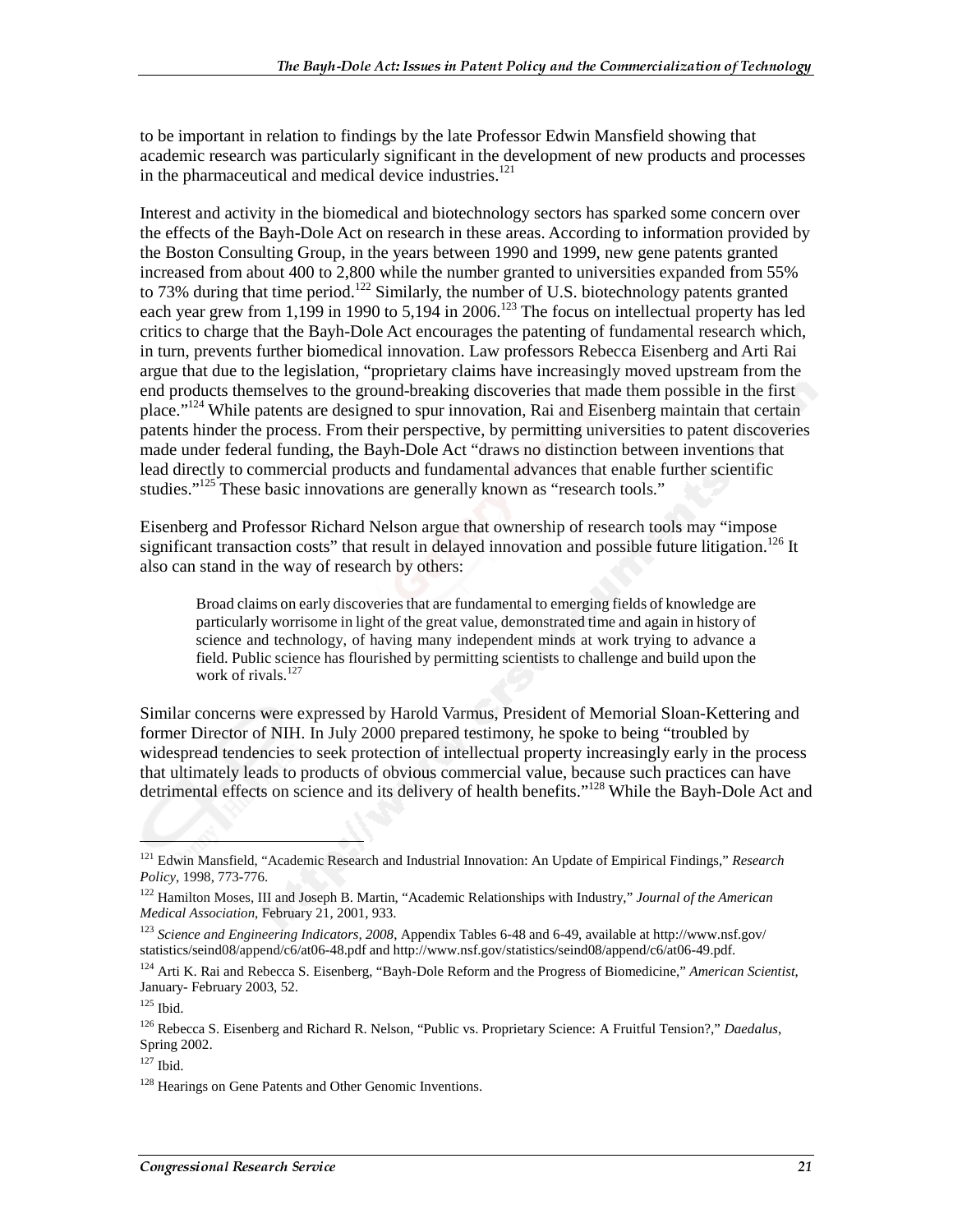to be important in relation to findings by the late Professor Edwin Mansfield showing that academic research was particularly significant in the development of new products and processes in the pharmaceutical and medical device industries.<sup>121</sup>

Interest and activity in the biomedical and biotechnology sectors has sparked some concern over the effects of the Bayh-Dole Act on research in these areas. According to information provided by the Boston Consulting Group, in the years between 1990 and 1999, new gene patents granted increased from about 400 to 2,800 while the number granted to universities expanded from 55% to 73% during that time period.<sup>122</sup> Similarly, the number of U.S. biotechnology patents granted each year grew from 1,199 in 1990 to 5,194 in 2006.<sup>123</sup> The focus on intellectual property has led critics to charge that the Bayh-Dole Act encourages the patenting of fundamental research which, in turn, prevents further biomedical innovation. Law professors Rebecca Eisenberg and Arti Rai argue that due to the legislation, "proprietary claims have increasingly moved upstream from the end products themselves to the ground-breaking discoveries that made them possible in the first place."124 While patents are designed to spur innovation, Rai and Eisenberg maintain that certain patents hinder the process. From their perspective, by permitting universities to patent discoveries made under federal funding, the Bayh-Dole Act "draws no distinction between inventions that lead directly to commercial products and fundamental advances that enable further scientific studies."<sup>125</sup> These basic innovations are generally known as "research tools."

Eisenberg and Professor Richard Nelson argue that ownership of research tools may "impose significant transaction costs" that result in delayed innovation and possible future litigation.<sup>126</sup> It also can stand in the way of research by others:

Broad claims on early discoveries that are fundamental to emerging fields of knowledge are particularly worrisome in light of the great value, demonstrated time and again in history of science and technology, of having many independent minds at work trying to advance a field. Public science has flourished by permitting scientists to challenge and build upon the work of rivals.<sup>127</sup>

Similar concerns were expressed by Harold Varmus, President of Memorial Sloan-Kettering and former Director of NIH. In July 2000 prepared testimony, he spoke to being "troubled by widespread tendencies to seek protection of intellectual property increasingly early in the process that ultimately leads to products of obvious commercial value, because such practices can have detrimental effects on science and its delivery of health benefits."<sup>128</sup> While the Bayh-Dole Act and

l

<sup>121</sup> Edwin Mansfield, "Academic Research and Industrial Innovation: An Update of Empirical Findings," *Research Policy*, 1998, 773-776.

<sup>122</sup> Hamilton Moses, III and Joseph B. Martin, "Academic Relationships with Industry," *Journal of the American Medical Association*, February 21, 2001, 933.

<sup>123</sup> *Science and Engineering Indicators, 2008*, Appendix Tables 6-48 and 6-49, available at http://www.nsf.gov/ statistics/seind08/append/c6/at06-48.pdf and http://www.nsf.gov/statistics/seind08/append/c6/at06-49.pdf.

<sup>124</sup> Arti K. Rai and Rebecca S. Eisenberg, "Bayh-Dole Reform and the Progress of Biomedicine," *American Scientist*, January- February 2003, 52.

 $125$  Ibid.

<sup>126</sup> Rebecca S. Eisenberg and Richard R. Nelson, "Public vs. Proprietary Science: A Fruitful Tension?," *Daedalus*, Spring 2002.

 $127$  Ibid.

<sup>&</sup>lt;sup>128</sup> Hearings on Gene Patents and Other Genomic Inventions.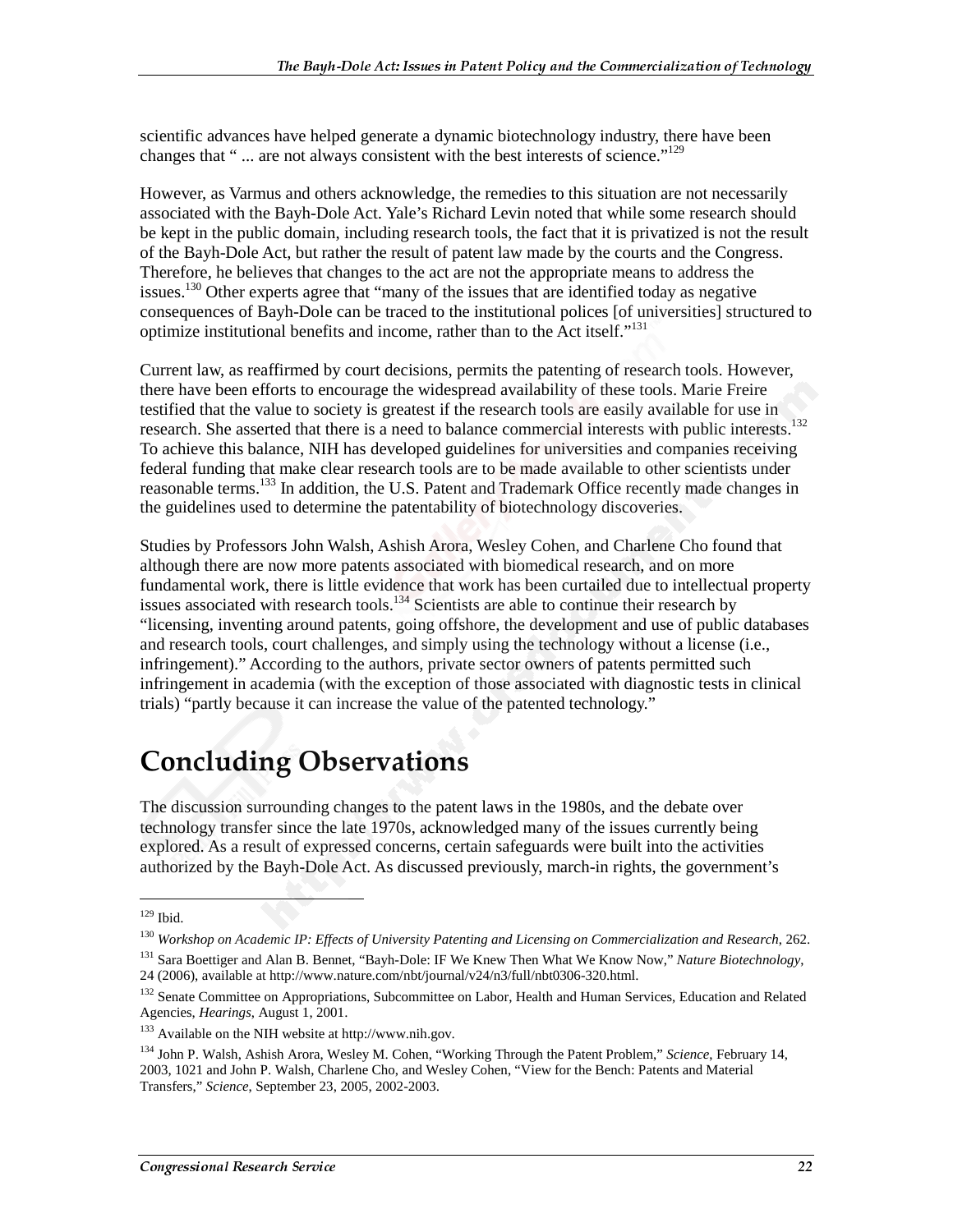scientific advances have helped generate a dynamic biotechnology industry, there have been changes that " ... are not always consistent with the best interests of science."<sup>129</sup>

However, as Varmus and others acknowledge, the remedies to this situation are not necessarily associated with the Bayh-Dole Act. Yale's Richard Levin noted that while some research should be kept in the public domain, including research tools, the fact that it is privatized is not the result of the Bayh-Dole Act, but rather the result of patent law made by the courts and the Congress. Therefore, he believes that changes to the act are not the appropriate means to address the issues.<sup>130</sup> Other experts agree that "many of the issues that are identified today as negative consequences of Bayh-Dole can be traced to the institutional polices [of universities] structured to optimize institutional benefits and income, rather than to the Act itself."<sup>131</sup>

Current law, as reaffirmed by court decisions, permits the patenting of research tools. However, there have been efforts to encourage the widespread availability of these tools. Marie Freire testified that the value to society is greatest if the research tools are easily available for use in research. She asserted that there is a need to balance commercial interests with public interests.<sup>132</sup> To achieve this balance, NIH has developed guidelines for universities and companies receiving federal funding that make clear research tools are to be made available to other scientists under reasonable terms.<sup>133</sup> In addition, the U.S. Patent and Trademark Office recently made changes in the guidelines used to determine the patentability of biotechnology discoveries.

Studies by Professors John Walsh, Ashish Arora, Wesley Cohen, and Charlene Cho found that although there are now more patents associated with biomedical research, and on more fundamental work, there is little evidence that work has been curtailed due to intellectual property issues associated with research tools.<sup>134</sup> Scientists are able to continue their research by "licensing, inventing around patents, going offshore, the development and use of public databases and research tools, court challenges, and simply using the technology without a license (i.e., infringement)." According to the authors, private sector owners of patents permitted such infringement in academia (with the exception of those associated with diagnostic tests in clinical trials) "partly because it can increase the value of the patented technology."

### **Concluding Observations**

The discussion surrounding changes to the patent laws in the 1980s, and the debate over technology transfer since the late 1970s, acknowledged many of the issues currently being explored. As a result of expressed concerns, certain safeguards were built into the activities authorized by the Bayh-Dole Act. As discussed previously, march-in rights, the government's

 $129$  Ibid.

<sup>130</sup> *Workshop on Academic IP: Effects of University Patenting and Licensing on Commercialization and Research*, 262.

<sup>131</sup> Sara Boettiger and Alan B. Bennet, "Bayh-Dole: IF We Knew Then What We Know Now," *Nature Biotechnology*, 24 (2006), available at http://www.nature.com/nbt/journal/v24/n3/full/nbt0306-320.html.

<sup>&</sup>lt;sup>132</sup> Senate Committee on Appropriations, Subcommittee on Labor, Health and Human Services, Education and Related Agencies, *Hearings*, August 1, 2001.

<sup>133</sup> Available on the NIH website at http://www.nih.gov.

<sup>134</sup> John P. Walsh, Ashish Arora, Wesley M. Cohen, "Working Through the Patent Problem," *Science*, February 14, 2003, 1021 and John P. Walsh, Charlene Cho, and Wesley Cohen, "View for the Bench: Patents and Material Transfers," *Science*, September 23, 2005, 2002-2003.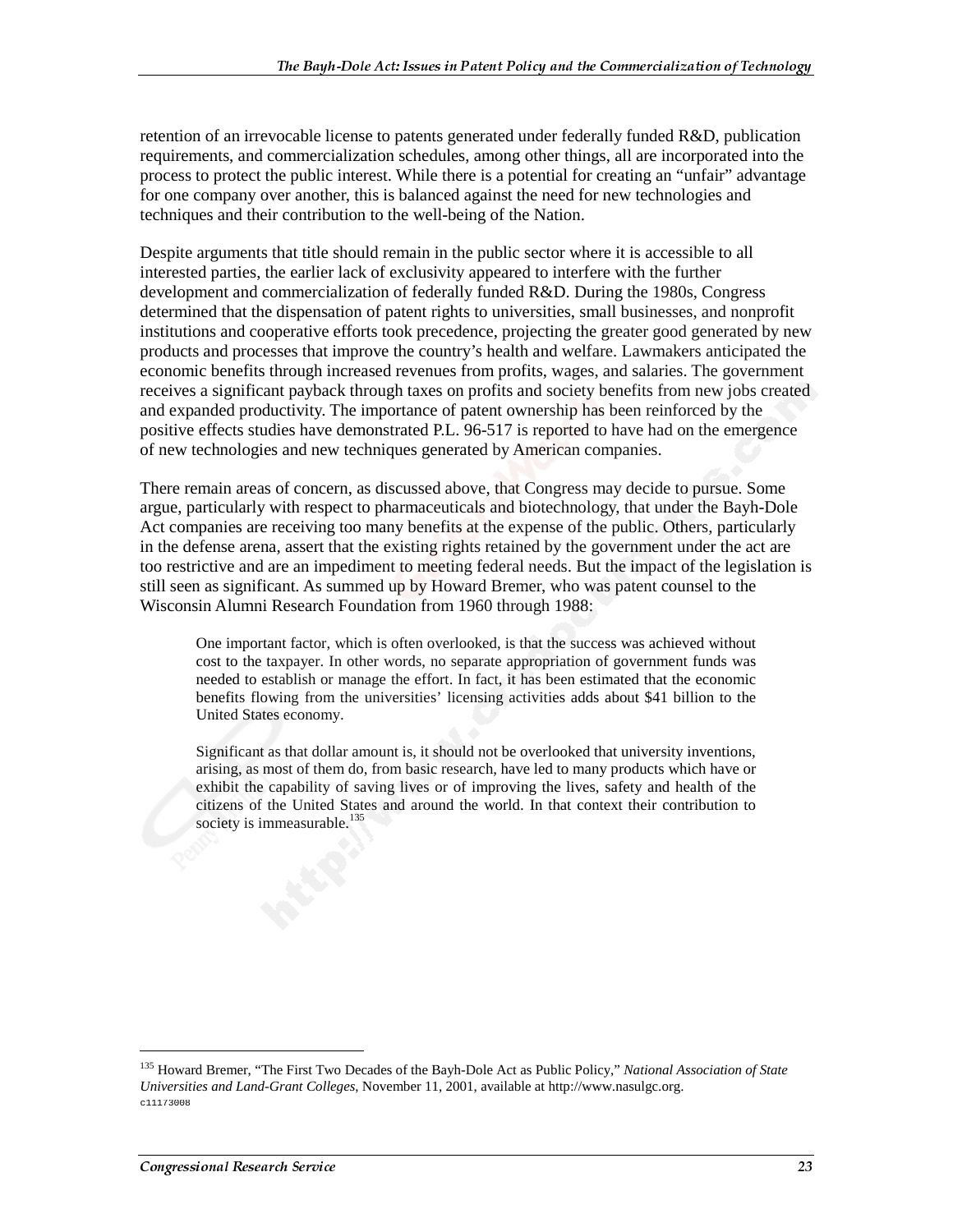retention of an irrevocable license to patents generated under federally funded R&D, publication requirements, and commercialization schedules, among other things, all are incorporated into the process to protect the public interest. While there is a potential for creating an "unfair" advantage for one company over another, this is balanced against the need for new technologies and techniques and their contribution to the well-being of the Nation.

Despite arguments that title should remain in the public sector where it is accessible to all interested parties, the earlier lack of exclusivity appeared to interfere with the further development and commercialization of federally funded R&D. During the 1980s, Congress determined that the dispensation of patent rights to universities, small businesses, and nonprofit institutions and cooperative efforts took precedence, projecting the greater good generated by new products and processes that improve the country's health and welfare. Lawmakers anticipated the economic benefits through increased revenues from profits, wages, and salaries. The government receives a significant payback through taxes on profits and society benefits from new jobs created and expanded productivity. The importance of patent ownership has been reinforced by the positive effects studies have demonstrated P.L. 96-517 is reported to have had on the emergence of new technologies and new techniques generated by American companies.

There remain areas of concern, as discussed above, that Congress may decide to pursue. Some argue, particularly with respect to pharmaceuticals and biotechnology, that under the Bayh-Dole Act companies are receiving too many benefits at the expense of the public. Others, particularly in the defense arena, assert that the existing rights retained by the government under the act are too restrictive and are an impediment to meeting federal needs. But the impact of the legislation is still seen as significant. As summed up by Howard Bremer, who was patent counsel to the Wisconsin Alumni Research Foundation from 1960 through 1988:

One important factor, which is often overlooked, is that the success was achieved without cost to the taxpayer. In other words, no separate appropriation of government funds was needed to establish or manage the effort. In fact, it has been estimated that the economic benefits flowing from the universities' licensing activities adds about \$41 billion to the United States economy.

Significant as that dollar amount is, it should not be overlooked that university inventions, arising, as most of them do, from basic research, have led to many products which have or exhibit the capability of saving lives or of improving the lives, safety and health of the citizens of the United States and around the world. In that context their contribution to society is immeasurable. $135$ 

<sup>135</sup> Howard Bremer, "The First Two Decades of the Bayh-Dole Act as Public Policy," *National Association of State Universities and Land-Grant Colleges*, November 11, 2001, available at http://www.nasulgc.org. c11173008